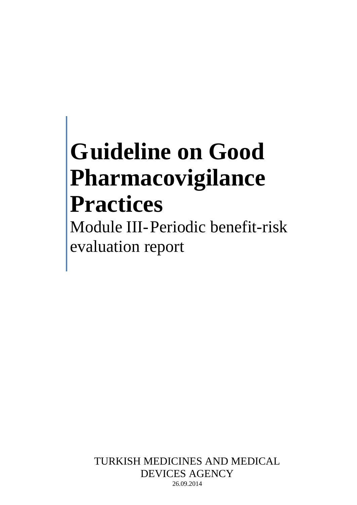# **Guideline on Good Pharmacovigilance Practices**

Module III-Periodic benefit-risk evaluation report

> TURKISH MEDICINES AND MEDICAL DEVICES AGENCY 26.09.2014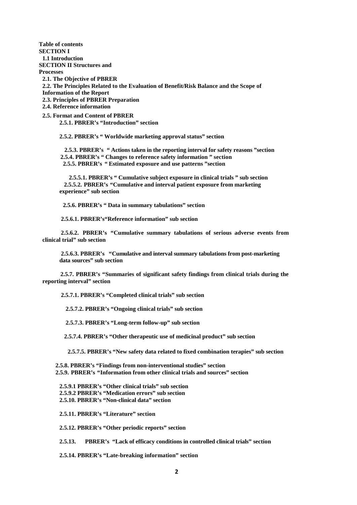**Table of contents SECTION I 1.1 Introduction SECTION II Structures and Processes 2.1. The Objective of PBRER 2.2. The Principles Related to the Evaluation of Benefit/Risk Balance and the Scope of Information of the Report 2.3. Principles of PBRER Preparation 2.4. Reference information**

**2.5. Format and Content of PBRER 2.5.1. PBRER's "Introduction" section**

**2.5.2. PBRER's " Worldwide marketing approval status" section**

 **2.5.3. PBRER's " Actions taken in the reporting interval for safety reasons "section 2.5.4. PBRER's " Changes to reference safety information " section 2.5.5. PBRER's " Estimated exposure and use patterns "section**

 **2.5.5.1. PBRER's " Cumulative subject exposure in clinical trials " sub section 2.5.5.2. PBRER's "Cumulative and interval patient exposure from marketing experience" sub section**

 **2.5.6. PBRER's " Data in summary tabulations" section**

**2.5.6.1. PBRER's"Reference information" sub section**

**2.5.6.2. PBRER's "Cumulative summary tabulations of serious adverse events from clinical trial" sub section**

**2.5.6.3. PBRER's "Cumulative and interval summary tabulations from post-marketing data sources" sub section**

 **2.5.7. PBRER's "Summaries of significant safety findings from clinical trials during the reporting interval" section**

**2.5.7.1. PBRER's "Completed clinical trials" sub section**

 **2.5.7.2. PBRER's "Ongoing clinical trials" sub section**

 **2.5.7.3. PBRER's "Long-term follow-up" sub section**

 **2.5.7.4. PBRER's "Other therapeutic use of medicinal product" sub section**

 **2.5.7.5. PBRER's "New safety data related to fixed combination terapies" sub section**

 **2.5.8. PBRER's "Findings from non-interventional studies" section 2.5.9. PBRER's "Information from other clinical trials and sources" section**

**2.5.9.1 PBRER's "Other clinical trials" sub section 2.5.9.2 PBRER's "Medication errors" sub section 2.5.10. PBRER's "Non-clinical data" section**

**2.5.11. PBRER's "Literature" section**

**2.5.12. PBRER's "Other periodic reports" section**

**2.5.13. PBRER's "Lack of efficacy conditions in controlled clinical trials" section**

**2.5.14. PBRER's "Late-breaking information" section**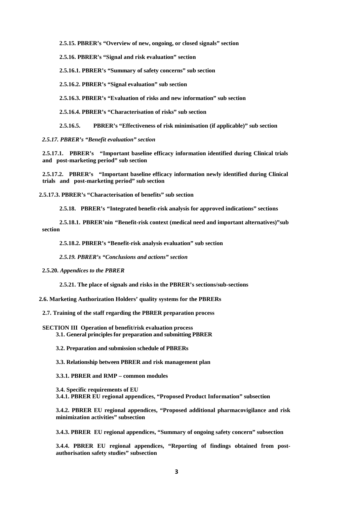**2.5.15. PBRER's "Overview of new, ongoing, or closed signals" section**

**2.5.16. PBRER's "Signal and risk evaluation" section** 

**2.5.16.1. PBRER's "Summary of safety concerns" sub section**

**2.5.16.2. PBRER's "Signal evaluation" sub section**

**2.5.16.3. PBRER's "Evaluation of risks and new information" sub section**

**2.5.16.4. PBRER's "Characterisation of risks" sub section**

**2.5.16.5. PBRER's "Effectiveness of risk minimisation (if applicable)" sub section**

*2.5.17. PBRER's "Benefit evaluation" section*

**2.5.17.1. PBRER's "Important baseline efficacy information identified during Clinical trials and post-marketing period" sub section**

**2.5.17.2. PBRER's "Important baseline efficacy information newly identified during Clinical trials and post-marketing period" sub section**

**2.5.17.3. PBRER's "Characterisation of benefits" sub section**

**2.5.18. PBRER's "Integrated benefit-risk analysis for approved indications" sections**

**2.5.18.1. PBRER'nin "Benefit-risk context (medical need and important alternatives)"sub section**

**2.5.18.2. PBRER's "Benefit-risk analysis evaluation" sub section**

*2.5.19. PBRER's "Conclusions and actions" section*

**2.5.20.** *Appendices to the PBRER*

**2.5.21. The place of signals and risks in the PBRER's sections/sub-sections**

**2.6. Marketing Authorization Holders' quality systems for the PBRERs**

**2.7. Training of the staff regarding the PBRER preparation process** 

**SECTION III Operation of benefit/risk evaluation process 3.1. General principles for preparation and submitting PBRER**

**3.2. Preparation and submission schedule of PBRERs**

**3.3. Relationship between PBRER and risk management plan**

**3.3.1. PBRER and RMP – common modules**

**3.4. Specific requirements of EU 3.4.1. PBRER EU regional appendices, "Proposed Product Information" subsection**

**3.4.2. PBRER EU regional appendices, "Proposed additional pharmacovigilance and risk minimization activities" subsection**

**3.4.3. PBRER EU regional appendices, "Summary of ongoing safety concern" subsection**

**3.4.4. PBRER EU regional appendices, "Reporting of findings obtained from postauthorisation safety studies" subsection**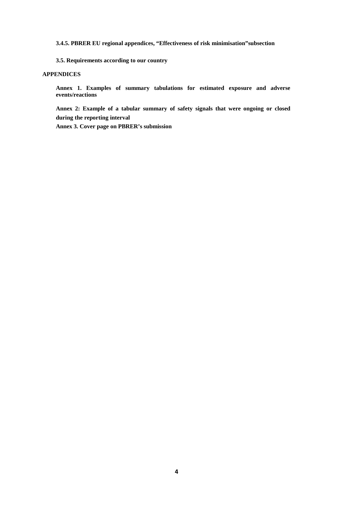**3.4.5. PBRER EU regional appendices, "Effectiveness of risk minimisation"subsection**

**3.5. Requirements according to our country**

#### **APPENDICES**

**Annex 1. Examples of summary tabulations for estimated exposure and adverse events/reactions**

**Annex 2: Example of a tabular summary of safety signals that were ongoing or closed during the reporting interval**

**Annex 3. Cover page on PBRER's submission**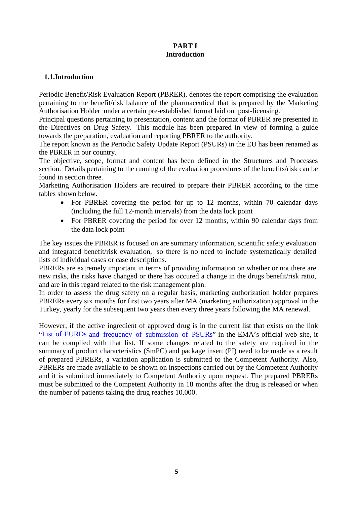## **PART I Introduction**

## **1.1.Introduction**

Periodic Benefit/Risk Evaluation Report (PBRER), denotes the report comprising the evaluation pertaining to the benefit/risk balance of the pharmaceutical that is prepared by the Marketing Authorisation Holder under a certain pre-established format laid out post-licensing.

Principal questions pertaining to presentation, content and the format of PBRER are presented in the Directives on Drug Safety. This module has been prepared in view of forming a guide towards the preparation, evaluation and reporting PBRER to the authority.

The report known as the Periodic Safety Update Report (PSURs) in the EU has been renamed as the PBRER in our country.

The objective, scope, format and content has been defined in the Structures and Processes section. Details pertaining to the running of the evaluation procedures of the benefits/risk can be found in section three.

Marketing Authorisation Holders are required to prepare their PBRER according to the time tables shown below.

- For PBRER covering the period for up to 12 months, within 70 calendar days (including the full 12-month intervals) from the data lock point
- For PBRER covering the period for over 12 months, within 90 calendar days from the data lock point

The key issues the PBRER is focused on are summary information, scientific safety evaluation and integrated benefit/risk evaluation, so there is no need to include systematically detailed lists of individual cases or case descriptions.

PBRERs are extremely important in terms of providing information on whether or not there are new risks, the risks have changed or there has occured a change in the drugs benefit/risk ratio, and are in this regard related to the risk management plan.

In order to assess the drug safety on a regular basis, marketing authorization holder prepares PBRERs every six months for first two years after MA (marketing authorization) approval in the Turkey, yearly for the subsequent two years then every three years following the MA renewal.

However, if the active ingredient of approved drug is in the current list that exists on the link "List of [EURDs a](http://www.ema.europa.eu/ema/pages/includes/document/open_document.jsp?webContentId=WC500133159)nd frequency of [submission](http://www.ema.europa.eu/ema/pages/includes/document/open_document.jsp?webContentId=WC500133159) of PSURs" in the EMA's official web site, it can be complied with that list. If some changes related to the safety are required in the summary of product characteristics (SmPC) and package insert (PI) need to be made as a result of prepared PBRERs, a variation application is submitted to the Competent Authority. Also, PBRERs are made available to be shown on inspections carried out by the Competent Authority and it is submitted immediately to Competent Authority upon request. The prepared PBRERs must be submitted to the Competent Authority in 18 months after the drug is released or when the number of patients taking the drug reaches 10,000.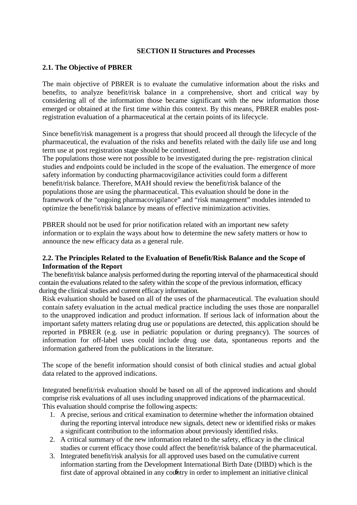## **SECTION II Structures and Processes**

## **2.1. The Objective of PBRER**

The main objective of PBRER is to evaluate the cumulative information about the risks and benefits, to analyze benefit/risk balance in a comprehensive, short and critical way by considering all of the information those became significant with the new information those emerged or obtained at the first time within this context. By this means, PBRER enables postregistration evaluation of a pharmaceutical at the certain points of its lifecycle.

Since benefit/risk management is a progress that should proceed all through the lifecycle of the pharmaceutical, the evaluation of the risks and benefits related with the daily life use and long term use at post registration stage should be continued.

 The populations those were not possible to be investigated during the pre- registration clinical studies and endpoints could be included in the scope of the evaluation. The emergence of more safety information by conducting pharmacovigilance activities could form a different benefit/risk balance. Therefore, MAH should review the benefit/risk balance of the populations those are using the pharmaceutical. This evaluation should be done in the framework of the "ongoing pharmacovigilance" and "risk management" modules intended to optimize the benefit/risk balance by means of effective minimization activities.

 PBRER should not be used for prior notification related with an important new safety information or to explain the ways about how to determine the new safety matters or how to announce the new efficacy data as a general rule.

## **2.2. The Principles Related to the Evaluation of Benefit/Risk Balance and the Scope of Information of the Report**

 The benefit/risk balance analysis performed during the reporting interval of the pharmaceutical should contain the evaluations related to the safety within the scope of the previous information, efficacy during the clinical studies and current efficacy information.

Risk evaluation should be based on all of the uses of the pharmaceutical. The evaluation should contain safety evaluation in the actual medical practice including the uses those are nonparallel to the unapproved indication and product information. If serious lack of information about the important safety matters relating drug use or populations are detected, this application should be reported in PBRER (e.g. use in pediatric population or during pregnancy). The sources of information for off-label uses could include drug use data, spontaneous reports and the information gathered from the publications in the literature.

The scope of the benefit information should consist of both clinical studies and actual global data related to the approved indications.

Integrated benefit/risk evaluation should be based on all of the approved indications and should comprise risk evaluations of all uses including unapproved indications of the pharmaceutical. This evaluation should comprise the following aspects:

- 1. A precise, serious and critical examination to determine whether the information obtained during the reporting interval introduce new signals, detect new or identified risks or makes a significant contribution to the information about previously identified risks.
- 2. A critical summary of the new information related to the safety, efficacy in the clinical studies or current efficacy those could affect the benefit/risk balance of the pharmaceutical.
- first date of approval obtained in any country in order to implement an initiative clinical 3. Integrated benefit/risk analysis for all approved uses based on the cumulative current information starting from the Development International Birth Date (DIBD) which is the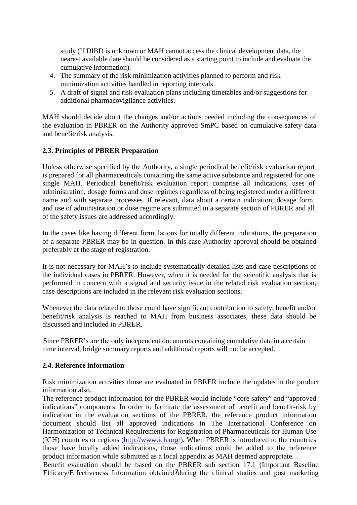study (If DIBD is unknown or MAH cannot access the clinical development data, the nearest available date should be considered as a starting point to include and evaluate the cumulative information).

- 4. The summary of the risk minimization activities planned to perform and risk minimization activities handled in reporting intervals.
- 5. A draft of signal and risk evaluation plans including timetables and/or suggestions for additional pharmacovigilance activities.

MAH should decide about the changes and/or actions needed including the consequences of the evaluation in PBRER on the Authority approved SmPC based on cumulative safety data and benefit/risk analysis.

## **2.3. Principles of PBRER Preparation**

Unless otherwise specified by the Authority, a single periodical benefit/risk evaluation report is prepared for all pharmaceuticals containing the same active substance and registered for one single MAH. Periodical benefit/risk evaluation report comprise all indications, uses of administration, dosage forms and dose regimes regardless of being registered under a different name and with separate processes. If relevant, data about a certain indication, dosage form, and use of administration or dose regime are submitted in a separate section of PBRER and all of the safety issues are addressed accordingly.

In the cases like having different formulations for totally different indications, the preparation of a separate PBRER may be in question. In this case Authority approval should be obtained preferably at the stage of registration.

It is not necessary for MAH's to include systematically detailed lists and case descriptions of the individual cases in PBRER. However, when it is needed for the scientific analysis that is performed in concern with a signal and security issue in the related risk evaluation section, case descriptions are included in the relevant risk evaluation sections.

Whenever the data related to those could have significant contribution to safety, benefit and/or benefit/risk analysis is reached to MAH from business associates, these data should be discussed and included in PBRER.

Since PBRER's are the only independent documents containing cumulative data in a certain time interval, bridge summary reports and additional reports will not be accepted.

#### **2.4. Reference information**

Risk minimization activities those are evaluated in PBRER include the updates in the product information also.

The reference product information for the PBRER would include "core safety" and "approved indications" components. In order to facilitate the assessment of benefit and benefit-risk by indication in the evaluation sections of the PBRER, the reference product information document should list all approved indications in The International Conference on Harmonization of Technical Requirements for Registration of Pharmaceuticals for Human Use (ICH) countries or regions [\(http://www.ich.org/\)](http://www.ich.org/). When PBRER is introduced to the countries those have locally added indications, those indications could be added to the reference product information while submitted as a local appendix as MAH deemed appropriate.

Efficacy/Effectiveness Information obtained 7during the clinical studies and post marketing Benefit evaluation should be based on the PBRER sub section 17.1 (Important Baseline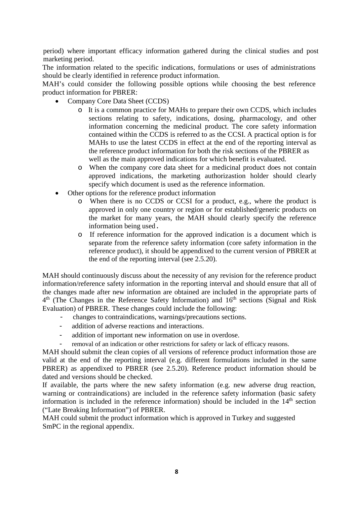period) where important efficacy information gathered during the clinical studies and post marketing period.

The information related to the specific indications, formulations or uses of administrations should be clearly identified in reference product information.

MAH's could consider the following possible options while choosing the best reference product information for PBRER:

- Company Core Data Sheet (CCDS)
	- o It is a common practice for MAHs to prepare their own CCDS, which includes sections relating to safety, indications, dosing, pharmacology, and other information concerning the medicinal product. The core safety information contained within the CCDS is referred to as the CCSI. A practical option is for MAHs to use the latest CCDS in effect at the end of the reporting interval as the reference product information for both the risk sections of the PBRER as well as the main approved indications for which benefit is evaluated.
	- o When the company core data sheet for a medicinal product does not contain approved indications, the marketing authorizastion holder should clearly specify which document is used as the reference information.
- Other options for the reference product information
	- o When there is no CCDS or CCSI for a product, e.g., where the product is approved in only one country or region or for established/generic products on the market for many years, the MAH should clearly specify the reference information being used.
	- o If reference information for the approved indication is a document which is separate from the reference safety information (core safety information in the reference product), it should be appendixed to the current version of PBRER at the end of the reporting interval (see 2.5.20).

MAH should continuously discuss about the necessity of any revision for the reference product information/reference safety information in the reporting interval and should ensure that all of the changes made after new information are obtained are included in the appropriate parts of  $4<sup>th</sup>$  (The Changes in the Reference Safety Information) and  $16<sup>th</sup>$  sections (Signal and Risk) Evaluation) of PBRER. These changes could include the following:

- changes to contraindications, warnings/precautions sections.
- addition of adverse reactions and interactions.
- addition of important new information on use in overdose.
- removal of an indication or other restrictions for safety or lack of efficacy reasons.

MAH should submit the clean copies of all versions of reference product information those are valid at the end of the reporting interval (e.g. different formulations included in the same PBRER) as appendixed to PBRER (see 2.5.20). Reference product information should be dated and versions should be checked.

If available, the parts where the new safety information (e.g. new adverse drug reaction, warning or contraindications) are included in the reference safety information (basic safety information is included in the reference information) should be included in the  $14<sup>th</sup>$  section ("Late Breaking Information") of PBRER.

 MAH could submit the product information which is approved in Turkey and suggested SmPC in the regional appendix.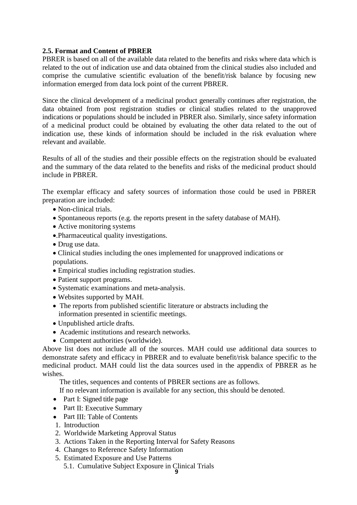## **2.5. Format and Content of PBRER**

PBRER is based on all of the available data related to the benefits and risks where data which is related to the out of indication use and data obtained from the clinical studies also included and comprise the cumulative scientific evaluation of the benefit/risk balance by focusing new information emerged from data lock point of the current PBRER.

Since the clinical development of a medicinal product generally continues after registration, the data obtained from post registration studies or clinical studies related to the unapproved indications or populations should be included in PBRER also. Similarly, since safety information of a medicinal product could be obtained by evaluating the other data related to the out of indication use, these kinds of information should be included in the risk evaluation where relevant and available.

Results of all of the studies and their possible effects on the registration should be evaluated and the summary of the data related to the benefits and risks of the medicinal product should include in PBRER.

The exemplar efficacy and safety sources of information those could be used in PBRER preparation are included:

- Non-clinical trials.
- Spontaneous reports (e.g. the reports present in the safety database of MAH).
- Active monitoring systems
- •.Pharmaceutical quality investigations.
- Drug use data.
- Clinical studies including the ones implemented for unapproved indications or populations.
- Empirical studies including registration studies.
- Patient support programs.
- Systematic examinations and meta-analysis.
- Websites supported by MAH.
- The reports from published scientific literature or abstracts including the information presented in scientific meetings.
- Unpublished article drafts.
- Academic institutions and research networks.
- Competent authorities (worldwide).

Above list does not include all of the sources. MAH could use additional data sources to demonstrate safety and efficacy in PBRER and to evaluate benefit/risk balance specific to the medicinal product. MAH could list the data sources used in the appendix of PBRER as he wishes.

The titles, sequences and contents of PBRER sections are as follows.

If no relevant information is available for any section, this should be denoted.

- Part I: Signed title page
- Part II: Executive Summary
- Part III: Table of Contents
- 1. Introduction
- 2. Worldwide Marketing Approval Status
- 3. Actions Taken in the Reporting Interval for Safety Reasons
- 4. Changes to Reference Safety Information
- 5. Estimated Exposure and Use Patterns
	- 5.1. Cumulative Subject Exposure in Clinical Trials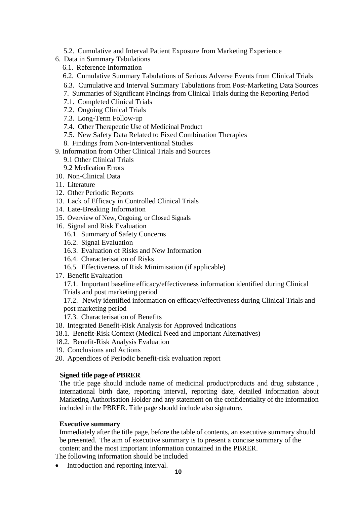- 5.2. Cumulative and Interval Patient Exposure from Marketing Experience
- 6. Data in Summary Tabulations
	- 6.1. Reference Information
	- 6.2. Cumulative Summary Tabulations of Serious Adverse Events from Clinical Trials
	- 6.3. Cumulative and Interval Summary Tabulations from Post-Marketing Data Sources
	- 7. Summaries of Significant Findings from Clinical Trials during the Reporting Period
	- 7.1. Completed Clinical Trials
	- 7.2. Ongoing Clinical Trials
	- 7.3. Long-Term Follow-up
	- 7.4. Other Therapeutic Use of Medicinal Product
	- 7.5. New Safety Data Related to Fixed Combination Therapies
	- 8. Findings from Non-Interventional Studies
- 9. Information from Other Clinical Trials and Sources
	- 9.1 Other Clinical Trials
	- 9.2 Medication Errors
- 10. Non-Clinical Data
- 11. Literature
- 12. Other Periodic Reports
- 13. Lack of Efficacy in Controlled Clinical Trials
- 14. Late-Breaking Information
- 15. Overview of New, Ongoing, or Closed Signals
- 16. Signal and Risk Evaluation
	- 16.1. Summary of Safety Concerns
	- 16.2. Signal Evaluation
	- 16.3. Evaluation of Risks and New Information
	- 16.4. Characterisation of Risks
	- 16.5. Effectiveness of Risk Minimisation (if applicable)
- 17. Benefit Evaluation
	- 17.1. Important baseline efficacy/effectiveness information identified during Clinical
	- Trials and post marketing period

17.2. Newly identified information on efficacy/effectiveness during Clinical Trials and post marketing period

- 17.3. Characterisation of Benefits
- 18. Integrated Benefit-Risk Analysis for Approved Indications
- 18.1. Benefit-Risk Context (Medical Need and Important Alternatives)
- 18.2. Benefit-Risk Analysis Evaluation
- 19. Conclusions and Actions
- 20. Appendices of Periodic benefit-risk evaluation report

#### **Signed title page of PBRER**

The title page should include name of medicinal product/products and drug substance , international birth date, reporting interval, reporting date, detailed information about Marketing Authorisation Holder and any statement on the confidentiality of the information included in the PBRER. Title page should include also signature.

#### **Executive summary**

Immediately after the title page, before the table of contents, an executive summary should be presented. The aim of executive summary is to present a concise summary of the content and the most important information contained in the PBRER.

The following information should be included

• Introduction and reporting interval.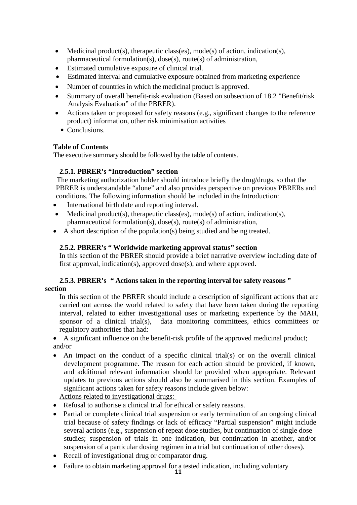- Medicinal product(s), therapeutic class(es), mode(s) of action, indication(s), pharmaceutical formulation(s), dose(s), route(s) of administration,
- Estimated cumulative exposure of clinical trial.
- Estimated interval and cumulative exposure obtained from marketing experience
- Number of countries in which the medicinal product is approved.
- Summary of overall benefit-risk evaluation (Based on subsection of 18.2 "Benefit/risk Analysis Evaluation" of the PBRER).
- Actions taken or proposed for safety reasons (e.g., significant changes to the reference product) information, other risk minimisation activities
	- Conclusions.

## **Table of Contents**

The executive summary should be followed by the table of contents.

## **2.5.1. PBRER's "Introduction" section**

 The marketing authorization holder should introduce briefly the drug/drugs, so that the PBRER is understandable "alone" and also provides perspective on previous PBRERs and conditions. The following information should be included in the Introduction:

- International birth date and reporting interval.
- Medicinal product(s), therapeutic class(es), mode(s) of action, indication(s), pharmaceutical formulation(s), dose(s), route(s) of administration,
- A short description of the population(s) being studied and being treated.

## **2.5.2. PBRER's " Worldwide marketing approval status" section**

In this section of the PBRER should provide a brief narrative overview including date of first approval, indication(s), approved dose(s), and where approved.

## **2.5.3. PBRER's " Actions taken in the reporting interval for safety reasons " section**

In this section of the PBRER should include a description of significant actions that are carried out across the world related to safety that have been taken during the reporting interval, related to either investigational uses or marketing experience by the MAH, sponsor of a clinical trial(s), data monitoring committees, ethics committees or regulatory authorities that had:

• A significant influence on the benefit-risk profile of the approved medicinal product; and/or

• An impact on the conduct of a specific clinical trial(s) or on the overall clinical development programme. The reason for each action should be provided, if known, and additional relevant information should be provided when appropriate. Relevant updates to previous actions should also be summarised in this section. Examples of significant actions taken for safety reasons include given below:

Actions related to investigational drugs:

- Refusal to authorise a clinical trial for ethical or safety reasons.
- Partial or complete clinical trial suspension or early termination of an ongoing clinical trial because of safety findings or lack of efficacy "Partial suspension" might include several actions (e.g., suspension of repeat dose studies, but continuation of single dose studies; suspension of trials in one indication, but continuation in another, and/or suspension of a particular dosing regimen in a trial but continuation of other doses).
- Recall of investigational drug or comparator drug.
- Failure to obtain marketing approval for a tested indication, including voluntary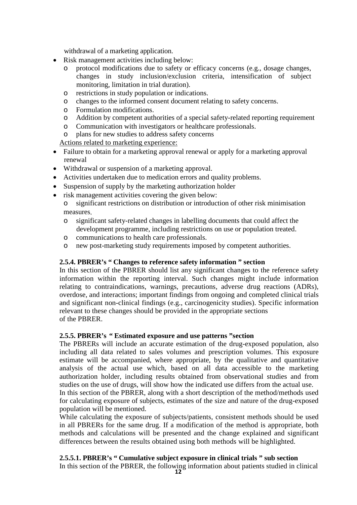withdrawal of a marketing application.

- Risk management activities including below:
	- o protocol modifications due to safety or efficacy concerns (e.g., dosage changes, changes in study inclusion/exclusion criteria, intensification of subject monitoring, limitation in trial duration).
	- o restrictions in study population or indications.
	- o changes to the informed consent document relating to safety concerns.<br>
	Formulation modifications.
	- o Formulation modifications.
	- Addition by competent authorities of a special safety-related reporting requirement
	- o Communication with investigators or healthcare professionals.
	- plans for new studies to address safety concerns

Actions related to marketing experience:

- Failure to obtain for a marketing approval renewal or apply for a marketing approval renewal
- Withdrawal or suspension of a marketing approval.
- Activities undertaken due to medication errors and quality problems.
- Suspension of supply by the marketing authorization holder
- risk management activities covering the given below:
	- o significant restrictions on distribution or introduction of other risk minimisation measures.
	- o significant safety-related changes in labelling documents that could affect the development programme, including restrictions on use or population treated.
	- o communications to health care professionals.
	- new post-marketing study requirements imposed by competent authorities.

## **2.5.4. PBRER's " Changes to reference safety information " section**

In this section of the PBRER should list any significant changes to the reference safety information within the reporting interval. Such changes might include information relating to contraindications, warnings, precautions, adverse drug reactions (ADRs), overdose, and interactions; important findings from ongoing and completed clinical trials and significant non-clinical findings (e.g., carcinogenicity studies). Specific information relevant to these changes should be provided in the appropriate sections of the PBRER.

## **2.5.5. PBRER's " Estimated exposure and use patterns "section**

The PBRERs will include an accurate estimation of the drug-exposed population, also including all data related to sales volumes and prescription volumes. This exposure estimate will be accompanied, where appropriate, by the qualitative and quantitative analysis of the actual use which, based on all data accessible to the marketing authorization holder, including results obtained from observational studies and from studies on the use of drugs, will show how the indicated use differs from the actual use.

In this section of the PBRER, along with a short description of the method/methods used for calculating exposure of subjects, estimates of the size and nature of the drug-exposed population will be mentioned.

While calculating the exposure of subjects/patients, consistent methods should be used in all PBRERs for the same drug. If a modification of the method is appropriate, both methods and calculations will be presented and the change explained and significant differences between the results obtained using both methods will be highlighted.

**2.5.5.1. PBRER's " Cumulative subject exposure in clinical trials " sub section** In this section of the PBRER, the following information about patients studied in clinical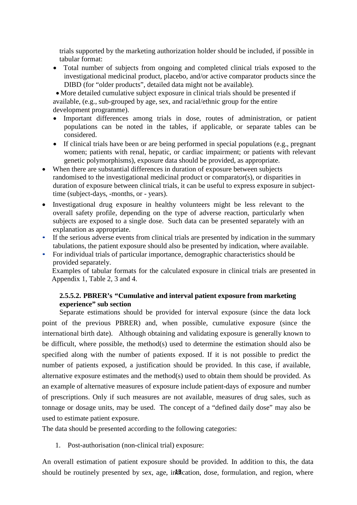trials supported by the marketing authorization holder should be included, if possible in tabular format:

• Total number of subjects from ongoing and completed clinical trials exposed to the investigational medicinal product, placebo, and/or active comparator products since the DIBD (for "older products", detailed data might not be available).

• More detailed cumulative subject exposure in clinical trials should be presented if available, (e.g., sub-grouped by age, sex, and racial/ethnic group for the entire development programme).

- Important differences among trials in dose, routes of administration, or patient populations can be noted in the tables, if applicable, or separate tables can be considered.
- If clinical trials have been or are being performed in special populations (e.g., pregnant women; patients with renal, hepatic, or cardiac impairment; or patients with relevant genetic polymorphisms), exposure data should be provided, as appropriate.
- When there are substantial differences in duration of exposure between subjects randomised to the investigational medicinal product or comparator(s), or disparities in duration of exposure between clinical trials, it can be useful to express exposure in subjecttime (subject-days, -months, or - years).
- Investigational drug exposure in healthy volunteers might be less relevant to the overall safety profile, depending on the type of adverse reaction, particularly when subjects are exposed to a single dose. Such data can be presented separately with an explanation as appropriate.
- If the serious adverse events from clinical trials are presented by indication in the summary tabulations, the patient exposure should also be presented by indication, where available.
- For individual trials of particular importance, demographic characteristics should be provided separately.

Examples of tabular formats for the calculated exposure in clinical trials are presented in Appendix 1, Table 2, 3 and 4.

## **2.5.5.2. PBRER's "Cumulative and interval patient exposure from marketing experience" sub section**

Separate estimations should be provided for interval exposure (since the data lock point of the previous PBRER) and, when possible, cumulative exposure (since the international birth date). Although obtaining and validating exposure is generally known to be difficult, where possible, the method(s) used to determine the estimation should also be specified along with the number of patients exposed. If it is not possible to predict the number of patients exposed, a justification should be provided. In this case, if available, alternative exposure estimates and the method(s) used to obtain them should be provided. As an example of alternative measures of exposure include patient-days of exposure and number of prescriptions. Only if such measures are not available, measures of drug sales, such as tonnage or dosage units, may be used. The concept of a "defined daily dose" may also be used to estimate patient exposure.

The data should be presented according to the following categories:

1. Post-authorisation (non-clinical trial) exposure:

should be routinely presented by sex, age, indication, dose, formulation, and region, where An overall estimation of patient exposure should be provided. In addition to this, the data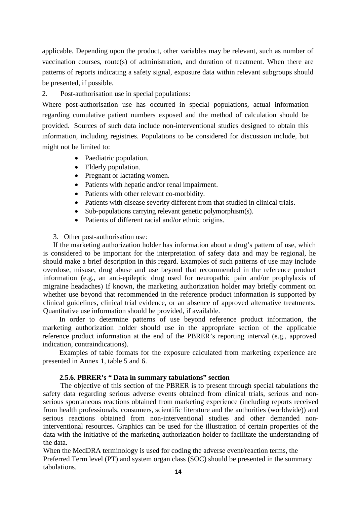applicable. Depending upon the product, other variables may be relevant, such as number of vaccination courses, route(s) of administration, and duration of treatment. When there are patterns of reports indicating a safety signal, exposure data within relevant subgroups should be presented, if possible.

2. Post-authorisation use in special populations:

Where post-authorisation use has occurred in special populations, actual information regarding cumulative patient numbers exposed and the method of calculation should be provided. Sources of such data include non-interventional studies designed to obtain this information, including registries. Populations to be considered for discussion include, but might not be limited to:

- Paediatric population.
- Elderly population.
- Pregnant or lactating women.
- Patients with hepatic and/or renal impairment.
- Patients with other relevant co-morbidity.
- Patients with disease severity different from that studied in clinical trials.
- Sub-populations carrying relevant genetic polymorphism(s).
- Patients of different racial and/or ethnic origins.

#### 3. Other post-authorisation use:

If the marketing authorization holder has information about a drug's pattern of use, which is considered to be important for the interpretation of safety data and may be regional, he should make a brief description in this regard. Examples of such patterns of use may include overdose, misuse, drug abuse and use beyond that recommended in the reference product information (e.g., an anti-epileptic drug used for neuropathic pain and/or prophylaxis of migraine headaches) If known, the marketing authorization holder may briefly comment on whether use beyond that recommended in the reference product information is supported by clinical guidelines, clinical trial evidence, or an absence of approved alternative treatments. Quantitative use information should be provided, if available.

In order to determine patterns of use beyond reference product information, the marketing authorization holder should use in the appropriate section of the applicable reference product information at the end of the PBRER's reporting interval (e.g., approved indication, contraindications).

Examples of table formats for the exposure calculated from marketing experience are presented in Annex 1, table 5 and 6.

## **2.5.6. PBRER's " Data in summary tabulations" section**

The objective of this section of the PBRER is to present through special tabulations the safety data regarding serious adverse events obtained from clinical trials, serious and nonserious spontaneous reactions obtained from marketing experience (including reports received from health professionals, consumers, scientific literature and the authorities (worldwide)) and serious reactions obtained from non-interventional studies and other demanded noninterventional resources. Graphics can be used for the illustration of certain properties of the data with the initiative of the marketing authorization holder to facilitate the understanding of the data.

When the MedDRA terminology is used for coding the adverse event/reaction terms, the Preferred Term level (PT) and system organ class (SOC) should be presented in the summary tabulations.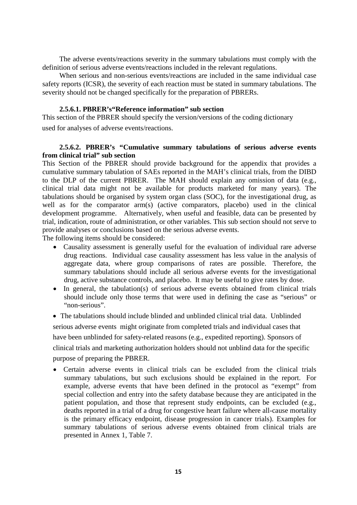The adverse events/reactions severity in the summary tabulations must comply with the definition of serious adverse events/reactions included in the relevant regulations.

When serious and non-serious events/reactions are included in the same individual case safety reports (ICSR), the severity of each reaction must be stated in summary tabulations. The severity should not be changed specifically for the preparation of PBRERs.

#### **2.5.6.1. PBRER's"Reference information" sub section**

This section of the PBRER should specify the version/versions of the coding dictionary used for analyses of adverse events/reactions.

#### **2.5.6.2. PBRER's "Cumulative summary tabulations of serious adverse events from clinical trial" sub section**

This Section of the PBRER should provide background for the appendix that provides a cumulative summary tabulation of SAEs reported in the MAH's clinical trials, from the DIBD to the DLP of the current PBRER. The MAH should explain any omission of data (e.g., clinical trial data might not be available for products marketed for many years). The tabulations should be organised by system organ class (SOC), for the investigational drug, as well as for the comparator arm(s) (active comparators, placebo) used in the clinical development programme. Alternatively, when useful and feasible, data can be presented by trial, indication, route of administration, or other variables. This sub section should not serve to provide analyses or conclusions based on the serious adverse events.

The following items should be considered:

- Causality assessment is generally useful for the evaluation of individual rare adverse drug reactions. Individual case causality assessment has less value in the analysis of aggregate data, where group comparisons of rates are possible. Therefore, the summary tabulations should include all serious adverse events for the investigational drug, active substance controls, and placebo. It may be useful to give rates by dose.
- In general, the tabulation(s) of serious adverse events obtained from clinical trials should include only those terms that were used in defining the case as "serious" or "non-serious".

• The tabulations should include blinded and unblinded clinical trial data. Unblinded serious adverse events might originate from completed trials and individual cases that have been unblinded for safety-related reasons (e.g., expedited reporting). Sponsors of clinical trials and marketing authorization holders should not unblind data for the specific purpose of preparing the PBRER.

• Certain adverse events in clinical trials can be excluded from the clinical trials summary tabulations, but such exclusions should be explained in the report. For example, adverse events that have been defined in the protocol as "exempt" from special collection and entry into the safety database because they are anticipated in the patient population, and those that represent study endpoints, can be excluded (e.g., deaths reported in a trial of a drug for congestive heart failure where all-cause mortality is the primary efficacy endpoint, disease progression in cancer trials). Examples for summary tabulations of serious adverse events obtained from clinical trials are presented in Annex 1, Table 7.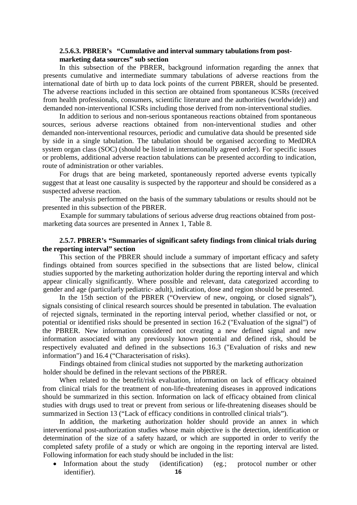#### **2.5.6.3. PBRER's "Cumulative and interval summary tabulations from postmarketing data sources" sub section**

In this subsection of the PBRER, background information regarding the annex that presents cumulative and intermediate summary tabulations of adverse reactions from the international date of birth up to data lock points of the current PBRER, should be presented. The adverse reactions included in this section are obtained from spontaneous ICSRs (received from health professionals, consumers, scientific literature and the authorities (worldwide)) and demanded non-interventional ICSRs including those derived from non-interventional studies.

In addition to serious and non-serious spontaneous reactions obtained from spontaneous sources, serious adverse reactions obtained from non-interventional studies and other demanded non-interventional resources, periodic and cumulative data should be presented side by side in a single tabulation. The tabulation should be organised according to MedDRA system organ class (SOC) (should be listed in internationally agreed order). For specific issues or problems, additional adverse reaction tabulations can be presented according to indication, route of administration or other variables.

For drugs that are being marketed, spontaneously reported adverse events typically suggest that at least one causality is suspected by the rapporteur and should be considered as a suspected adverse reaction.

The analysis performed on the basis of the summary tabulations or results should not be presented in this subsection of the PBRER.

Example for summary tabulations of serious adverse drug reactions obtained from postmarketing data sources are presented in Annex 1, Table 8.

#### **2.5.7. PBRER's "Summaries of significant safety findings from clinical trials during the reporting interval" section**

This section of the PBRER should include a summary of important efficacy and safety findings obtained from sources specified in the subsections that are listed below, clinical studies supported by the marketing authorization holder during the reporting interval and which appear clinically significantly. Where possible and relevant, data categorized according to gender and age (particularly pediatric- adult), indication, dose and region should be presented.

In the 15th section of the PBRER ("Overview of new, ongoing, or closed signals"), signals consisting of clinical research sources should be presented in tabulation. The evaluation of rejected signals, terminated in the reporting interval period, whether classified or not, or potential or identified risks should be presented in section 16.2 ("Evaluation of the signal") of the PBRER. New information considered not creating a new defined signal and new information associated with any previously known potential and defined risk, should be respectively evaluated and defined in the subsections 16.3 ("Evaluation of risks and new information") and 16.4 ("Characterisation of risks).

Findings obtained from clinical studies not supported by the marketing authorization holder should be defined in the relevant sections of the PBRER.

When related to the benefit/risk evaluation, information on lack of efficacy obtained from clinical trials for the treatment of non-life-threatening diseases in approved indications should be summarized in this section. Information on lack of efficacy obtained from clinical studies with drugs used to treat or prevent from serious or life-threatening diseases should be summarized in Section 13 ("Lack of efficacy conditions in controlled clinical trials").

In addition, the marketing authorization holder should provide an annex in which interventional post-authorization studies whose main objective is the detection, identification or determination of the size of a safety hazard, or which are supported in order to verify the completed safety profile of a study or which are ongoing in the reporting interval are listed. Following information for each study should be included in the list:

**16** • Information about the study (identification) (eg.; protocol number or other identifier).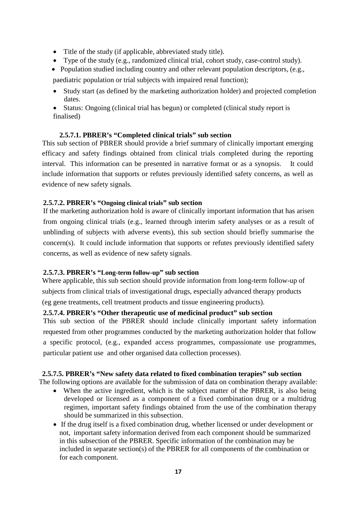- Title of the study (if applicable, abbreviated study title).
- Type of the study (e.g., randomized clinical trial, cohort study, case-control study).

• Population studied including country and other relevant population descriptors, (e.g., paediatric population or trial subjects with impaired renal function);

• Study start (as defined by the marketing authorization holder) and projected completion dates.

• Status: Ongoing (clinical trial has begun) or completed (clinical study report is finalised)

## **2.5.7.1. PBRER's "Completed clinical trials" sub section**

This sub section of PBRER should provide a brief summary of clinically important emerging efficacy and safety findings obtained from clinical trials completed during the reporting interval. This information can be presented in narrative format or as a synopsis. It could include information that supports or refutes previously identified safety concerns, as well as evidence of new safety signals.

## **2.5.7.2. PBRER's "Ongoing clinical trials" sub section**

If the marketing authorization hold is aware of clinically important information that has arisen from ongoing clinical trials (e.g., learned through interim safety analyses or as a result of unblinding of subjects with adverse events), this sub section should briefly summarise the concern(s). It could include information that supports or refutes previously identified safety concerns, as well as evidence of new safety signals.

#### **2.5.7.3. PBRER's "Long-term follow-up" sub section**

Where applicable, this sub section should provide information from long-term follow-up of subjects from clinical trials of investigational drugs, especially advanced therapy products

(eg gene treatments, cell treatment products and tissue engineering products).

## **2.5.7.4. PBRER's "Other therapeutic use of medicinal product" sub section**

This sub section of the PBRER should include clinically important safety information requested from other programmes conducted by the marketing authorization holder that follow a specific protocol, (e.g., expanded access programmes, compassionate use programmes, particular patient use and other organised data collection processes).

#### **2.5.7.5. PBRER's "New safety data related to fixed combination terapies" sub section**

The following options are available for the submission of data on combination therapy available:

- When the active ingredient, which is the subject matter of the PBRER, is also being developed or licensed as a component of a fixed combination drug or a multidrug regimen, important safety findings obtained from the use of the combination therapy should be summarized in this subsection.
- If the drug itself is a fixed combination drug, whether licensed or under development or not, important safety information derived from each component should be summarized in this subsection of the PBRER. Specific information of the combination may be included in separate section(s) of the PBRER for all components of the combination or for each component.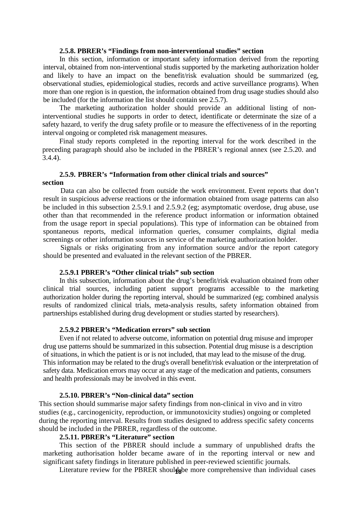#### **2.5.8. PBRER's "Findings from non-interventional studies" section**

In this section, information or important safety information derived from the reporting interval, obtained from non-interventional studis supported by the marketing authorization holder and likely to have an impact on the benefit/risk evaluation should be summarized (eg, observational studies, epidemiological studies, records and active surveillance programs). When more than one region is in question, the information obtained from drug usage studies should also be included (for the information the list should contain see 2.5.7).

The marketing authorization holder should provide an additional listing of noninterventional studies he supports in order to detect, identificate or determinate the size of a safety hazard, to verify the drug safety profile or to measure the effectiveness of in the reporting interval ongoing or completed risk management measures.

Final study reports completed in the reporting interval for the work described in the preceding paragraph should also be included in the PBRER's regional annex (see 2.5.20. and 3.4.4).

# **2.5.9. PBRER's "Information from other clinical trials and sources"**

#### **section**

Data can also be collected from outside the work environment. Event reports that don't result in suspicious adverse reactions or the information obtained from usage patterns can also be included in this subsection 2.5.9.1 and 2.5.9.2 (eg; asymptomatic overdose, drug abuse, use other than that recommended in the reference product information or information obtained from the usage report in special populations). This type of information can be obtained from spontaneous reports, medical information queries, consumer complaints, digital media screenings or other information sources in service of the marketing authorization holder.

Signals or risks originating from any information source and/or the report category should be presented and evaluated in the relevant section of the PBRER.

#### **2.5.9.1 PBRER's "Other clinical trials" sub section**

In this subsection, information about the drug's benefit/risk evaluation obtained from other clinical trial sources, including patient support programs accessible to the marketing authorization holder during the reporting interval, should be summarized (eg; combined analysis results of randomized clinical trials, meta-analysis results, safety information obtained from partnerships established during drug development or studies started by researchers).

## **2.5.9.2 PBRER's "Medication errors" sub section**

Even if not related to adverse outcome, information on potential drug misuse and improper drug use patterns should be summarized in this subsection. Potential drug misuse is a description of situations, in which the patient is or is not included, that may lead to the misuse of the drug. This information may be related to the drug's overall benefit/risk evaluation or the interpretation of safety data. Medication errors may occur at any stage of the medication and patients, consumers and health professionals may be involved in this event.

#### **2.5.10. PBRER's "Non-clinical data" section**

This section should summarise major safety findings from non-clinical in vivo and in vitro studies (e.g., carcinogenicity, reproduction, or immunotoxicity studies) ongoing or completed during the reporting interval. Results from studies designed to address specific safety concerns should be included in the PBRER, regardless of the outcome.

## **2.5.11. PBRER's "Literature" section**

This section of the PBRER should include a summary of unpublished drafts the marketing authorisation holder became aware of in the reporting interval or new and significant safety findings in literature published in peer-reviewed scientific journals.

Literature review for the PBRER should be more comprehensive than individual cases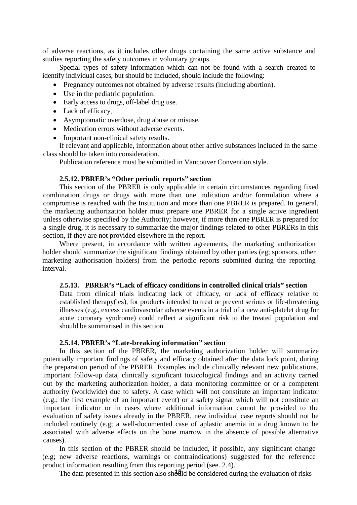of adverse reactions, as it includes other drugs containing the same active substance and studies reporting the safety outcomes in voluntary groups.

Special types of safety information which can not be found with a search created to identify individual cases, but should be included, should include the following:

- Pregnancy outcomes not obtained by adverse results (including abortion).
- Use in the pediatric population.
- Early access to drugs, off-label drug use.
- Lack of efficacy.
- Asymptomatic overdose, drug abuse or misuse.
- Medication errors without adverse events.
- Important non-clinical safety results.

If relevant and applicable, information about other active substances included in the same class should be taken into consideration.

Publication reference must be submitted in Vancouver Convention style.

#### **2.5.12. PBRER's "Other periodic reports" section**

This section of the PBRER is only applicable in certain circumstances regarding fixed combination drugs or drugs with more than one indication and/or formulation where a compromise is reached with the Institution and more than one PBRER is prepared. In general, the marketing authorization holder must prepare one PBRER for a single active ingredient unless otherwise specified by the Authority; however, if more than one PBRER is prepared for a single drug, it is necessary to summarize the major findings related to other PBRERs in this section, if they are not provided elsewhere in the report.

Where present, in accordance with written agreements, the marketing authorization holder should summarize the significant findings obtained by other parties (eg; sponsors, other marketing authorisation holders) from the periodic reports submitted during the reporting interval.

#### **2.5.13. PBRER's "Lack of efficacy conditions in controlled clinical trials" section**

Data from clinical trials indicating lack of efficacy, or lack of efficacy relative to established therapy(ies), for products intended to treat or prevent serious or life-threatening illnesses (e.g., excess cardiovascular adverse events in a trial of a new anti-platelet drug for acute coronary syndrome) could reflect a significant risk to the treated population and should be summarised in this section.

#### **2.5.14. PBRER's "Late-breaking information" section**

In this section of the PBRER, the marketing authorization holder will summarize potentially important findings of safety and efficacy obtained after the data lock point, during the preparation period of the PBRER. Examples include clinically relevant new publications, important follow-up data, clinically significant toxicological findings and an activity carried out by the marketing authorization holder, a data monitoring committee or or a competent authority (worldwide) due to safety. A case which will not constitute an important indicator (e.g.; the first example of an important event) or a safety signal which will not constitute an important indicator or in cases where additional information cannot be provided to the evaluation of safety issues already in the PBRER, new individual case reports should not be included routinely (e.g; a well-documented case of aplastic anemia in a drug known to be associated with adverse effects on the bone marrow in the absence of possible alternative causes).

In this section of the PBRER should be included, if possible, any significant change (e.g; new adverse reactions, warnings or contraindications) suggested for the reference product information resulting from this reporting period (see. 2.4).

The data presented in this section also should be considered during the evaluation of risks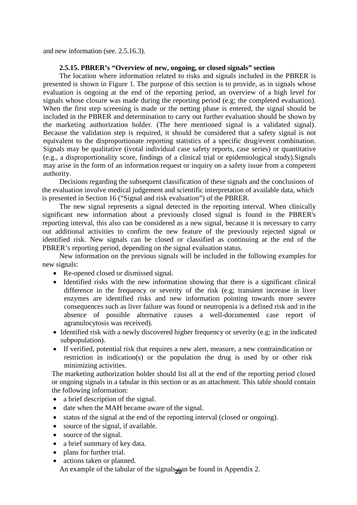and new information (see. 2.5.16.3).

#### **2.5.15. PBRER's "Overview of new, ongoing, or closed signals" section**

The location where information related to risks and signals included in the PBRER is presented is shown in Figure 1. The purpose of this section is to provide, as in signals whose evaluation is ongoing at the end of the reporting period, an overview of a high level for signals whose closure was made during the reporting period (e.g; the completed evaluation). When the first step screening is made or the netting phase is entered, the signal should be included in the PBRER and determination to carry out further evaluation should be shown by the marketing authorization holder. (The here mentioned signal is a validated signal). Because the validation step is required, it should be considered that a safety signal is not equivalent to the disproportionate reporting statistics of a specific drug/event combination. Signals may be qualitative (ivotal individual case safety reports, case series) or quantitative (e.g., a disproportionality score, findings of a clinical trial or epidemiological study).Signals may arise in the form of an information request or inquiry on a safety issue from a competent authority.

Decisions regarding the subsequent classification of these signals and the conclusions of the evaluation involve medical judgement and scientific interpretation of available data, which is presented in Section 16 ("Signal and risk evaluation") of the PBRER.

The new signal represents a signal detected in the reporting interval. When clinically significant new information about a previously closed signal is found in the PBRER's reporting interval, this also can be considered as a new signal, because it is necessary to carry out additional activities to confirm the new feature of the previously rejected signal or identified risk. New signals can be closed or classified as continuing at the end of the PBRER's reporting period, depending on the signal evaluation status.

New information on the previous signals will be included in the following examples for new signals:

- Re-opened closed or dismissed signal.
- Identified risks with the new information showing that there is a significant clinical difference in the frequency or severity of the risk (e.g; transient increase in liver enzymes are identified risks and new information pointing towards more severe consequences such as liver failure was found or neutropenia is a defined risk and in the absence of possible alternative causes a well-documented case report of agranulocytosis was received).
- Identified risk with a newly discovered higher frequency or severity (e.g; in the indicated subpopulation).
- If verified, potential risk that requires a new alert, measure, a new contraindication or restriction in indication(s) or the population the drug is used by or other risk minimizing activities.

The marketing authorization holder should list all at the end of the reporting period closed or ongoing signals in a tabular in this section or as an attachment. This table should contain the following information:

- a brief description of the signal.
- date when the MAH became aware of the signal.
- status of the signal at the end of the reporting interval (closed or ongoing).
- source of the signal, if available.
- source of the signal.
- a brief summary of key data.
- plans for further trial.
- actions taken or planned.

An example of the tabular of the signals<sub>26</sub> an be found in Appendix 2.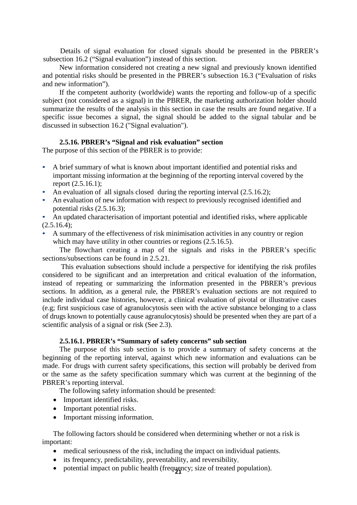Details of signal evaluation for closed signals should be presented in the PBRER's subsection 16.2 ("Signal evaluation") instead of this section.

New information considered not creating a new signal and previously known identified and potential risks should be presented in the PBRER's subsection 16.3 ("Evaluation of risks and new information").

If the competent authority (worldwide) wants the reporting and follow-up of a specific subject (not considered as a signal) in the PBRER, the marketing authorization holder should summarize the results of the analysis in this section in case the results are found negative. If a specific issue becomes a signal, the signal should be added to the signal tabular and be discussed in subsection 16.2 ("Signal evaluation").

#### **2.5.16. PBRER's "Signal and risk evaluation" section**

The purpose of this section of the PBRER is to provide:

- A brief summary of what is known about important identified and potential risks and important missing information at the beginning of the reporting interval covered by the report (2.5.16.1);
- An evaluation of all signals closed during the reporting interval (2.5.16.2);
- An evaluation of new information with respect to previously recognised identified and potential risks (2.5.16.3);
- An updated characterisation of important potential and identified risks, where applicable  $(2.5.16.4)$ ;
- A summary of the effectiveness of risk minimisation activities in any country or region which may have utility in other countries or regions  $(2.5.16.5)$ .

The flowchart creating a map of the signals and risks in the PBRER's specific sections/subsections can be found in 2.5.21.

This evaluation subsections should include a perspective for identifying the risk profiles considered to be significant and an interpretation and critical evaluation of the information, instead of repeating or summarizing the information presented in the PBRER's previous sections. In addition, as a general rule, the PBRER's evaluation sections are not required to include individual case histories, however, a clinical evaluation of pivotal or illustrative cases (e.g; first suspicious case of agranulocytosis seen with the active substance belonging to a class of drugs known to potentially cause agranulocytosis) should be presented when they are part of a scientific analysis of a signal or risk (See 2.3).

#### **2.5.16.1. PBRER's "Summary of safety concerns" sub section**

The purpose of this sub section is to provide a summary of safety concerns at the beginning of the reporting interval, against which new information and evaluations can be made. For drugs with current safety specifications, this section will probably be derived from or the same as the safety specification summary which was current at the beginning of the PBRER's reporting interval.

The following safety information should be presented:

- Important identified risks.
- Important potential risks.
- Important missing information.

The following factors should be considered when determining whether or not a risk is important:

- medical seriousness of the risk, including the impact on individual patients.
- its frequency, predictability, preventability, and reversibility.
- potential impact on public health (frequency; size of treated population).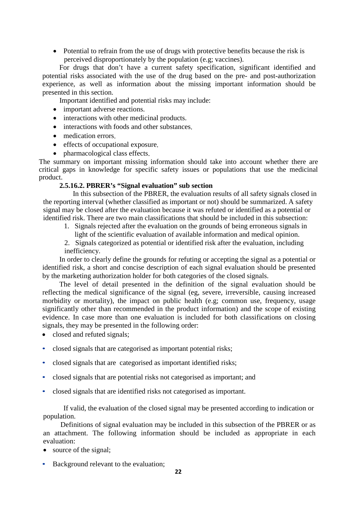• Potential to refrain from the use of drugs with protective benefits because the risk is perceived disproportionately by the population (e.g; vaccines).

For drugs that don't have a current safety specification, significant identified and potential risks associated with the use of the drug based on the pre- and post-authorization experience, as well as information about the missing important information should be presented in this section.

Important identified and potential risks may include:

- important adverse reactions.
- interactions with other medicinal products.
- interactions with foods and other substances.
- medication errors.
- effects of occupational exposure.
- pharmacological class effects.

The summary on important missing information should take into account whether there are critical gaps in knowledge for specific safety issues or populations that use the medicinal product.

#### **2.5.16.2. PBRER's "Signal evaluation" sub section**

In this subsection of the PBRER, the evaluation results of all safety signals closed in the reporting interval (whether classified as important or not) should be summarized. A safety signal may be closed after the evaluation because it was refuted or identified as a potential or identified risk. There are two main classifications that should be included in this subsection:

- 1. Signals rejected after the evaluation on the grounds of being erroneous signals in light of the scientific evaluation of available information and medical opinion.
- 2. Signals categorized as potential or identified risk after the evaluation, including inefficiency.

In order to clearly define the grounds for refuting or accepting the signal as a potential or identified risk, a short and concise description of each signal evaluation should be presented by the marketing authorization holder for both categories of the closed signals.

The level of detail presented in the definition of the signal evaluation should be reflecting the medical significance of the signal (eg, severe, irreversible, causing increased morbidity or mortality), the impact on public health (e.g; common use, frequency, usage significantly other than recommended in the product information) and the scope of existing evidence. In case more than one evaluation is included for both classifications on closing signals, they may be presented in the following order:

- closed and refuted signals;
- closed signals that are categorised as important potential risks;
- closed signals that are categorised as important identified risks;
- closed signals that are potential risks not categorised as important; and
- closed signals that are identified risks not categorised as important.

If valid, the evaluation of the closed signal may be presented according to indication or population.

Definitions of signal evaluation may be included in this subsection of the PBRER or as an attachment. The following information should be included as appropriate in each evaluation:

- source of the signal;
- Background relevant to the evaluation;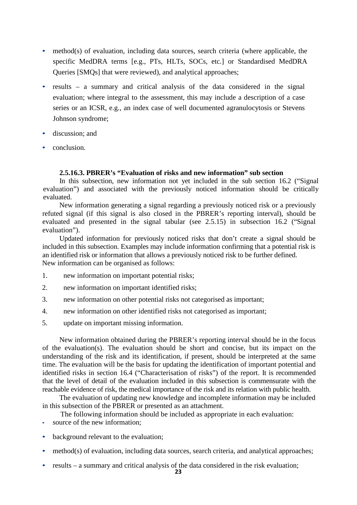- method(s) of evaluation, including data sources, search criteria (where applicable, the specific MedDRA terms [e.g., PTs, HLTs, SOCs, etc.] or Standardised MedDRA Queries [SMQs] that were reviewed), and analytical approaches;
- results a summary and critical analysis of the data considered in the signal evaluation; where integral to the assessment, this may include a description of a case series or an ICSR, e.g., an index case of well documented agranulocytosis or Stevens Johnson syndrome;
- discussion; and
- conclusion.

#### **2.5.16.3. PBRER's "Evaluation of risks and new information" sub section**

In this subsection, new information not yet included in the sub section 16.2 ("Signal evaluation") and associated with the previously noticed information should be critically evaluated.

New information generating a signal regarding a previously noticed risk or a previously refuted signal (if this signal is also closed in the PBRER's reporting interval), should be evaluated and presented in the signal tabular (see 2.5.15) in subsection 16.2 ("Signal evaluation").

Updated information for previously noticed risks that don't create a signal should be included in this subsection. Examples may include information confirming that a potential risk is an identified risk or information that allows a previously noticed risk to be further defined. New information can be organised as follows:

- 1. new information on important potential risks;
- 2. new information on important identified risks;
- 3. new information on other potential risks not categorised as important;
- 4. new information on other identified risks not categorised as important;
- 5. update on important missing information.

New information obtained during the PBRER's reporting interval should be in the focus of the evaluation(s). The evaluation should be short and concise, but its impact on the understanding of the risk and its identification, if present, should be interpreted at the same time. The evaluation will be the basis for updating the identification of important potential and identified risks in section 16.4 ("Characterisation of risks") of the report. It is recommended that the level of detail of the evaluation included in this subsection is commensurate with the reachable evidence of risk, the medical importance of the risk and its relation with public health.

The evaluation of updating new knowledge and incomplete information may be included in this subsection of the PBRER or presented as an attachment.

The following information should be included as appropriate in each evaluation:

- source of the new information;
- background relevant to the evaluation;
- method(s) of evaluation, including data sources, search criteria, and analytical approaches;
- results a summary and critical analysis of the data considered in the risk evaluation;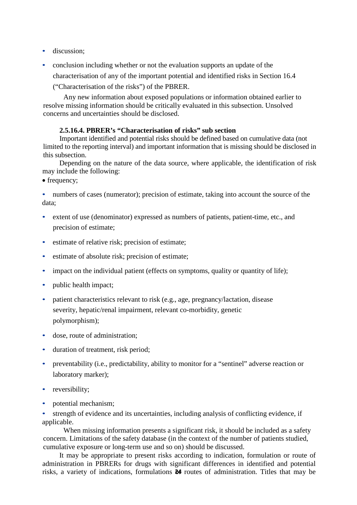- discussion:
- conclusion including whether or not the evaluation supports an update of the characterisation of any of the important potential and identified risks in Section 16.4

("Characterisation of the risks") of the PBRER.

Any new information about exposed populations or information obtained earlier to resolve missing information should be critically evaluated in this subsection. Unsolved concerns and uncertainties should be disclosed.

#### **2.5.16.4. PBRER's "Characterisation of risks" sub section**

Important identified and potential risks should be defined based on cumulative data (not limited to the reporting interval) and important information that is missing should be disclosed in this subsection.

Depending on the nature of the data source, where applicable, the identification of risk may include the following:

• frequency;

• numbers of cases (numerator); precision of estimate, taking into account the source of the data;

- extent of use (denominator) expressed as numbers of patients, patient-time, etc., and precision of estimate;
- estimate of relative risk; precision of estimate;
- estimate of absolute risk; precision of estimate;
- impact on the individual patient (effects on symptoms, quality or quantity of life);
- public health impact;
- patient characteristics relevant to risk (e.g., age, pregnancy/lactation, disease severity, hepatic/renal impairment, relevant co-morbidity, genetic polymorphism);
- dose, route of administration;
- duration of treatment, risk period;
- preventability (i.e., predictability, ability to monitor for a "sentinel" adverse reaction or laboratory marker);
- reversibility;
- potential mechanism;

• strength of evidence and its uncertainties, including analysis of conflicting evidence, if applicable.

When missing information presents a significant risk, it should be included as a safety concern. Limitations of the safety database (in the context of the number of patients studied, cumulative exposure or long-term use and so on) should be discussed.

risks, a variety of indications, formulations 24 routes of administration. Titles that may be It may be appropriate to present risks according to indication, formulation or route of administration in PBRERs for drugs with significant differences in identified and potential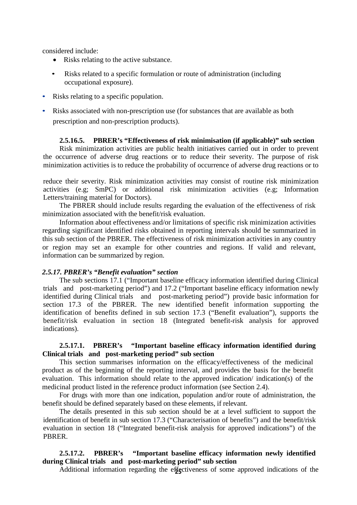considered include:

- Risks relating to the active substance.
- Risks related to a specific formulation or route of administration (including occupational exposure).
- Risks relating to a specific population.
- Risks associated with non-prescription use (for substances that are available as both prescription and non-prescription products).

#### **2.5.16.5. PBRER's "Effectiveness of risk minimisation (if applicable)" sub section**

Risk minimization activities are public health initiatives carried out in order to prevent the occurrence of adverse drug reactions or to reduce their severity. The purpose of risk minimization activities is to reduce the probability of occurrence of adverse drug reactions or to

reduce their severity. Risk minimization activities may consist of routine risk minimization activities (e.g; SmPC) or additional risk minimization activities (e.g; Information Letters/training material for Doctors).

The PBRER should include results regarding the evaluation of the effectiveness of risk minimization associated with the benefit/risk evaluation.

Information about effectiveness and/or limitations of specific risk minimization activities regarding significant identified risks obtained in reporting intervals should be summarized in this sub section of the PBRER. The effectiveness of risk minimization activities in any country or region may set an example for other countries and regions. If valid and relevant, information can be summarized by region.

#### *2.5.17. PBRER's "Benefit evaluation" section*

The sub sections 17.1 ("Important baseline efficacy information identified during Clinical trials and post-marketing period") and 17.2 ("Important baseline efficacy information newly identified during Clinical trials and post-marketing period") provide basic information for section 17.3 of the PBRER. The new identified benefit information supporting the identification of benefits defined in sub section 17.3 ("Benefit evaluation"), supports the benefit/risk evaluation in section 18 (Integrated benefit-risk analysis for approved indications).

#### **2.5.17.1. PBRER's "Important baseline efficacy information identified during Clinical trials and post-marketing period" sub section**

This section summarises information on the efficacy/effectiveness of the medicinal product as of the beginning of the reporting interval, and provides the basis for the benefit evaluation. This information should relate to the approved indication/ indication(s) of the medicinal product listed in the reference product information (see Section 2.4).

For drugs with more than one indication, population and/or route of administration, the benefit should be defined separately based on these elements, if relevant.

The details presented in this sub section should be at a level sufficient to support the identification of benefit in sub section 17.3 ("Characterisation of benefits") and the benefit/risk evaluation in section 18 ("Integrated benefit-risk analysis for approved indications") of the PBRER.

## **2.5.17.2. PBRER's "Important baseline efficacy information newly identified during Clinical trials and post-marketing period" sub section**

**25** Additional information regarding the effectiveness of some approved indications of the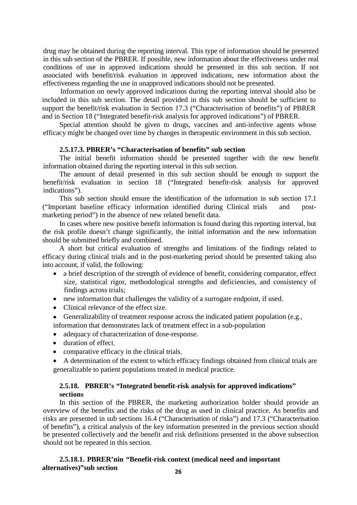drug may be obtained during the reporting interval. This type of information should be presented in this sub section of the PBRER. If possible, new information about the effectiveness under real conditions of use in approved indications should be presented in this sub section. If not associated with benefit/risk evaluation in approved indications, new information about the effectiveness regarding the use in unapproved indications should not be presented.

Information on newly approved indications during the reporting interval should also be included in this sub section. The detail provided in this sub section should be sufficient to support the benefit/risk evaluation in Section 17.3 ("Characterisation of benefits") of PBRER and in Section 18 ("Integrated benefit-risk analysis for approved indications") of PBRER.

Special attention should be given to drugs, vaccines and anti-infective agents whose efficacy might be changed over time by changes in therapeutic environment in this sub section.

#### **2.5.17.3. PBRER's "Characterisation of benefits" sub section**

The initial benefit information should be presented together with the new benefit information obtained during the reporting interval in this sub section.

The amount of detail presented in this sub section should be enough to support the benefit/risk evaluation in section 18 ("Integrated benefit-risk analysis for approved indications").

This sub section should ensure the identification of the information in sub section 17.1 ("Important baseline efficacy information identified during Clinical trials and postmarketing period") in the absence of new related benefit data.

In cases where new positive benefit information is found during this reporting interval, but the risk profile doesn't change significantly, the initial information and the new information should be submitted briefly and combined.

A short but critical evaluation of strengths and limitations of the findings related to efficacy during clinical trials and in the post-marketing period should be presented taking also into account, if valid, the following:

- a brief description of the strength of evidence of benefit, considering comparator, effect size, statistical rigor, methodological strengths and deficiencies, and consistency of findings across trials;
- new information that challenges the validity of a surrogate endpoint, if used.
- Clinical relevance of the effect size.
- Generalizability of treatment response across the indicated patient population (e.g.,
- information that demonstrates lack of treatment effect in a sub-population
- adequacy of characterization of dose-response.
- duration of effect.
- comparative efficacy in the clinical trials.
- A determination of the extent to which efficacy findings obtained from clinical trials are generalizable to patient populations treated in medical practice.

## **2.5.18. PBRER's "Integrated benefit-risk analysis for approved indications" sections**

In this section of the PBRER, the marketing authorization holder should provide an overview of the benefits and the risks of the drug as used in clinical practice. As benefits and risks are presented in sub sections 16.4 ("Characterisation of risks") and 17.3 ("Characterisation of benefits"), a critical analysis of the key information presented in the previous section should be presented collectively and the benefit and risk definitions presented in the above subsection should not be repeated in this section.

#### **2.5.18.1. PBRER'nin "Benefit-risk context (medical need and important alternatives)"sub section**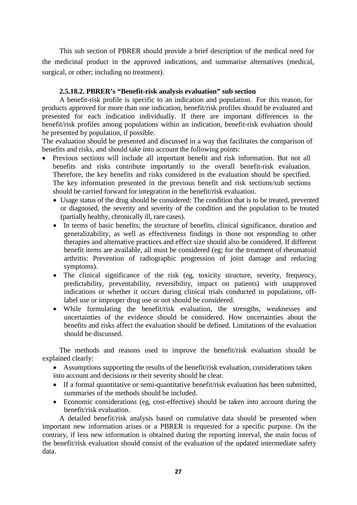This sub section of PBRER should provide a brief description of the medical need for the medicinal product in the approved indications, and summarise alternatives (medical, surgical, or other; including no treatment).

## **2.5.18.2. PBRER's "Benefit-risk analysis evaluation" sub section**

A benefit-risk profile is specific to an indication and population. For this reason, for products approved for more than one indication, benefit/risk profiles should be evaluated and presented for each indication individually. If there are important differences in the benefit/risk profiles among populations within an indication, benefit-risk evaluation should be presented by population, if possible.

The evaluation should be presented and discussed in a way that facilitates the comparison of benefits and risks, and should take into account the following points:

- Previous sections will include all important benefit and risk information. But not all benefits and risks contribute importantly to the overall benefit-risk evaluation. Therefore, the key benefits and risks considered in the evaluation should be specified. The key information presented in the previous benefit and risk sections/sub sections should be carried forward for integration in the benefit/risk evaluation.
	- Usage status of the drug should be considered: The condition that is to be treated, prevented or diagnosed, the severity and severity of the condition and the population to be treated (partially healthy, chronically ill, rare cases).
	- In terms of basic benefits; the structure of benefits, clinical significance, duration and generalizability, as well as effectiveness findings in those not responding to other therapies and alternative practices and effect size should also be considered. If different benefit items are available, all must be considered (eg; for the treatment of rheumatoid arthritis: Prevention of radiographic progression of joint damage and reducing symptoms).
	- The clinical significance of the risk (eg, toxicity structure, severity, frequency, predictability, preventability, reversibility, impact on patients) with unapproved indications or whether it occurs during clinical trials conducted in populations, offlabel use or improper drug use or not should be considered.
	- While formulating the benefit/risk evaluation, the strengths, weaknesses and uncertainties of the evidence should be considered. How uncertainties about the benefits and risks affect the evaluation should be defined. Limitations of the evaluation should be discussed.

The methods and reasons used to improve the benefit/risk evaluation should be explained clearly:

- Assumptions supporting the results of the benefit/risk evaluation, considerations taken into account and decisions or their severity should be clear.
- If a formal quantitative or semi-quantitative benefit/risk evaluation has been submitted, summaries of the methods should be included.
- Economic considerations (eg, cost-effective) should be taken into account during the benefit/risk evaluation.

A detailed benefit/risk analysis based on cumulative data should be presented when important new information arises or a PBRER is requested for a specific purpose. On the contrary, if less new information is obtained during the reporting interval, the main focus of the benefit/risk evaluation should consist of the evaluation of the updated intermediate safety data.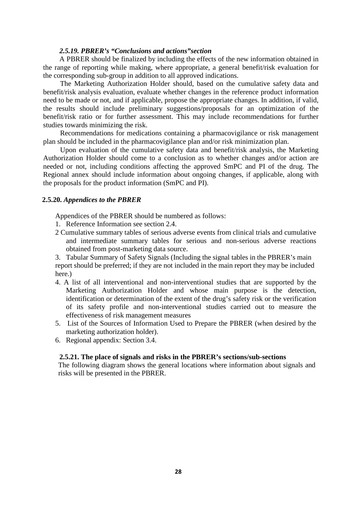## *2.5.19. PBRER's "Conclusions and actions"section*

A PBRER should be finalized by including the effects of the new information obtained in the range of reporting while making, where appropriate, a general benefit/risk evaluation for the corresponding sub-group in addition to all approved indications.

The Marketing Authorization Holder should, based on the cumulative safety data and benefit/risk analysis evaluation, evaluate whether changes in the reference product information need to be made or not, and if applicable, propose the appropriate changes. In addition, if valid, the results should include preliminary suggestions/proposals for an optimization of the benefit/risk ratio or for further assessment. This may include recommendations for further studies towards minimizing the risk.

Recommendations for medications containing a pharmacovigilance or risk management plan should be included in the pharmacovigilance plan and/or risk minimization plan.

Upon evaluation of the cumulative safety data and benefit/risk analysis, the Marketing Authorization Holder should come to a conclusion as to whether changes and/or action are needed or not, including conditions affecting the approved SmPC and PI of the drug. The Regional annex should include information about ongoing changes, if applicable, along with the proposals for the product information (SmPC and PI).

#### **2.5.20.** *Appendices to the PBRER*

Appendices of the PBRER should be numbered as follows:

- 1. Reference Information see section 2.4.
- 2 Cumulative summary tables of serious adverse events from clinical trials and cumulative and intermediate summary tables for serious and non-serious adverse reactions obtained from post-marketing data source.

3. Tabular Summary of Safety Signals (Including the signal tables in the PBRER's main report should be preferred; if they are not included in the main report they may be included here.)

- 4. A list of all interventional and non-interventional studies that are supported by the Marketing Authorization Holder and whose main purpose is the detection, identification or determination of the extent of the drug's safety risk or the verification of its safety profile and non-interventional studies carried out to measure the effectiveness of risk management measures
- 5. List of the Sources of Information Used to Prepare the PBRER (when desired by the marketing authorization holder).
- 6. Regional appendix: Section 3.4.

#### **2.5.21. The place of signals and risks in the PBRER's sections/sub-sections**

The following diagram shows the general locations where information about signals and risks will be presented in the PBRER.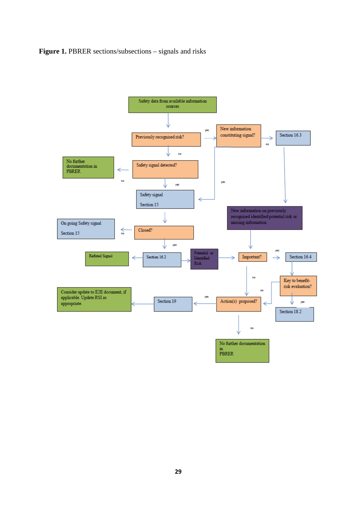**Figure 1. PBRER sections/subsections – signals and risks** 

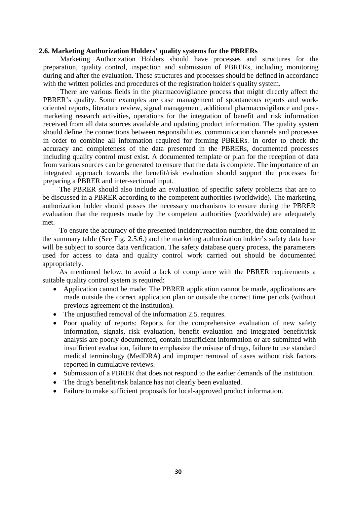#### **2.6. Marketing Authorization Holders' quality systems for the PBRERs**

Marketing Authorization Holders should have processes and structures for the preparation, quality control, inspection and submission of PBRERs, including monitoring during and after the evaluation. These structures and processes should be defined in accordance with the written policies and procedures of the registration holder's quality system.

There are various fields in the pharmacovigilance process that might directly affect the PBRER's quality. Some examples are case management of spontaneous reports and workoriented reports, literature review, signal management, additional pharmacovigilance and postmarketing research activities, operations for the integration of benefit and risk information received from all data sources available and updating product information. The quality system should define the connections between responsibilities, communication channels and processes in order to combine all information required for forming PBRERs. In order to check the accuracy and completeness of the data presented in the PBRERs, documented processes including quality control must exist. A documented template or plan for the reception of data from various sources can be generated to ensure that the data is complete. The importance of an integrated approach towards the benefit/risk evaluation should support the processes for preparing a PBRER and inter-sectional input.

The PBRER should also include an evaluation of specific safety problems that are to be discussed in a PBRER according to the competent authorities (worldwide). The marketing authorization holder should posses the necessary mechanisms to ensure during the PBRER evaluation that the requests made by the competent authorities (worldwide) are adequately met.

To ensure the accuracy of the presented incident/reaction number, the data contained in the summary table (See Fig. 2.5.6.) and the marketing authorization holder's safety data base will be subject to source data verification. The safety database query process, the parameters used for access to data and quality control work carried out should be documented appropriately.

As mentioned below, to avoid a lack of compliance with the PBRER requirements a suitable quality control system is required:

- Application cannot be made: The PBRER application cannot be made, applications are made outside the correct application plan or outside the correct time periods (without previous agreement of the institution).
- The unjustified removal of the information 2.5. requires.
- Poor quality of reports: Reports for the comprehensive evaluation of new safety information, signals, risk evaluation, benefit evaluation and integrated benefit/risk analysis are poorly documented, contain insufficient information or are submitted with insufficient evaluation, failure to emphasize the misuse of drugs, failure to use standard medical terminology (MedDRA) and improper removal of cases without risk factors reported in cumulative reviews.
- Submission of a PBRER that does not respond to the earlier demands of the institution.
- The drug's benefit/risk balance has not clearly been evaluated.
- Failure to make sufficient proposals for local-approved product information.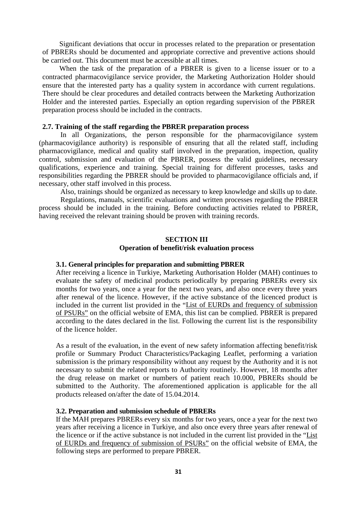Significant deviations that occur in processes related to the preparation or presentation of PBRERs should be documented and appropriate corrective and preventive actions should be carried out. This document must be accessible at all times.

When the task of the preparation of a PBRER is given to a license issuer or to a contracted pharmacovigilance service provider, the Marketing Authorization Holder should ensure that the interested party has a quality system in accordance with current regulations. There should be clear procedures and detailed contracts between the Marketing Authorization Holder and the interested parties. Especially an option regarding supervision of the PBRER preparation process should be included in the contracts.

#### **2.7. Training of the staff regarding the PBRER preparation process**

 In all Organizations, the person responsible for the pharmacovigilance system (pharmacovigilance authority) is responsible of ensuring that all the related staff, including pharmacovigilance, medical and quality staff involved in the preparation, inspection, quality control, submission and evaluation of the PBRER, possess the valid guidelines, necessary qualifications, experience and training. Special training for different processes, tasks and responsibilities regarding the PBRER should be provided to pharmacovigilance officials and, if necessary, other staff involved in this process.

Also, trainings should be organized as necessary to keep knowledge and skills up to date. Regulations, manuals, scientific evaluations and written processes regarding the PBRER process should be included in the training. Before conducting activities related to PBRER, having received the relevant training should be proven with training records.

#### **SECTION III**

#### **Operation of benefit/risk evaluation process**

#### **3.1. General principles for preparation and submitting PBRER**

After receiving a licence in Turkiye, Marketing Authorisation Holder (MAH) continues to evaluate the safety of medicinal products periodically by preparing PBRERs every six months for two years, once a year for the next two years, and also once every three years after renewal of the licence. However, if the active substance of the licenced product is included in the current list provided in the "List of EURDs and [frequency of](http://www.ema.europa.eu/ema/pages/includes/document/open_document.jsp?webContentId=WC500133159) submission of [PSURs"](http://www.ema.europa.eu/ema/pages/includes/document/open_document.jsp?webContentId=WC500133159) on the official website of EMA, this list can be complied. PBRER is prepared according to the dates declared in the list. Following the current list is the responsibility of the licence holder.

As a result of the evaluation, in the event of new safety information affecting benefit/risk profile or Summary Product Characteristics/Packaging Leaflet, performing a variation submission is the primary responsibility without any request by the Authority and it is not necessary to submit the related reports to Authority routinely. However, 18 months after the drug release on market or numbers of patient reach 10.000, PBRERs should be submitted to the Authority. The aforementioned application is applicable for the all products released on/after the date of 15.04.2014.

#### **3.2. Preparation and submission schedule of PBRERs**

If the MAH prepares PBRERs every six months for two years, once a year for the next two years after receiving a licence in Turkiye, and also once every three years after renewal of the licence or if the active substance is not included in the current list provided in the ["List](http://www.ema.europa.eu/ema/pages/includes/document/open_document.jsp?webContentId=WC500133159) of EURDs and [frequency of](http://www.ema.europa.eu/ema/pages/includes/document/open_document.jsp?webContentId=WC500133159) submission of PSURs" on the official website of EMA, the following steps are performed to prepare PBRER.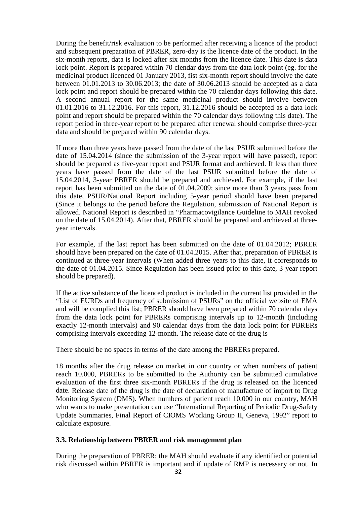During the benefit/risk evaluation to be performed after receiving a licence of the product and subsequent preparation of PBRER, zero-day is the licence date of the product. In the six-month reports, data is locked after six months from the licence date. This date is data lock point. Report is prepared within 70 clendar days from the data lock point (eg. for the medicinal product licenced 01 January 2013, fist six-month report should involve the date between 01.01.2013 to 30.06.2013; the date of 30.06.2013 should be accepted as a data lock point and report should be prepared within the 70 calendar days following this date. A second annual report for the same medicinal product should involve between 01.01.2016 to 31.12.2016. For this report, 31.12.2016 should be accepted as a data lock point and report should be prepared within the 70 calendar days following this date). The report period in three-year report to be prepared after renewal should comprise three-year data and should be prepared within 90 calendar days.

If more than three years have passed from the date of the last PSUR submitted before the date of 15.04.2014 (since the submission of the 3-year report will have passed), report should be prepared as five-year report and PSUR format and archieved. If less than three years have passed from the date of the last PSUR submitted before the date of 15.04.2014, 3-year PBRER should be prepared and archieved. For example, if the last report has been submitted on the date of 01.04.2009; since more than 3 years pass from this date, PSUR/National Report including 5-year period should have been prepared (Since it belongs to the period before the Regulation, submission of National Report is allowed. National Report is described in "Pharmacovigilance Guideline to MAH revoked on the date of 15.04.2014). After that, PBRER should be prepared and archieved at threeyear intervals.

For example, if the last report has been submitted on the date of 01.04.2012; PBRER should have been prepared on the date of 01.04.2015. After that, preparation of PBRER is continued at three-year intervals (When added three years to this date, it corresponds to the date of 01.04.2015. Since Regulation has been issued prior to this date, 3-year report should be prepared).

If the active substance of the licenced product is included in the current list provided in the "List of EURDs and [frequency of](http://www.ema.europa.eu/ema/pages/includes/document/open_document.jsp?webContentId=WC500133159) submission of PSURs" on the official website of EMA and will be complied this list; PBRER should have been prepared within 70 calendar days from the data lock point for PBRERs comprising intervals up to 12-month (including exactly 12-month intervals) and 90 calendar days from the data lock point for PBRERs comprising intervals exceeding 12-month. The release date of the drug is

There should be no spaces in terms of the date among the PBRERs prepared.

18 months after the drug release on market in our country or when numbers of patient reach 10.000, PBRERs to be submitted to the Authority can be submitted cumulative evaluation of the first three six-month PBRERs if the drug is released on the licenced date. Release date of the drug is the date of declaration of manufacture of import to Drug Monitoring System (DMS). When numbers of patient reach 10.000 in our country, MAH who wants to make presentation can use "International Reporting of Periodic Drug-Safety Update Summaries, Final Report of CIOMS Working Group II, Geneva, 1992" report to calculate exposure.

## **3.3. Relationship between PBRER and risk management plan**

During the preparation of PBRER; the MAH should evaluate if any identified or potential risk discussed within PBRER is important and if update of RMP is necessary or not. In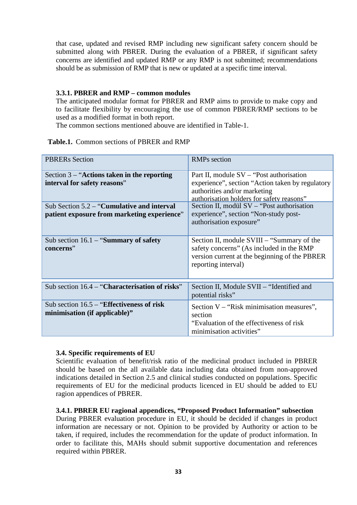that case, updated and revised RMP including new significant safety concern should be submitted along with PBRER. During the evaluation of a PBRER, if significant safety concerns are identified and updated RMP or any RMP is not submitted; recommendations should be as submission of RMP that is new or updated at a specific time interval.

## **3.3.1. PBRER and RMP – common modules**

The anticipated modular format for PBRER and RMP aims to provide to make copy and to facilitate flexibility by encouraging the use of common PBRER/RMP sections to be used as a modified format in both report.

The common sections mentioned abouve are identified in Table-1.

#### **Table.1.** Common sections of PBRER and RMP

| <b>PBRERs</b> Section                                                                                                                                                         | <b>RMPs</b> section                                                                                                                                                                                                                                                                          |
|-------------------------------------------------------------------------------------------------------------------------------------------------------------------------------|----------------------------------------------------------------------------------------------------------------------------------------------------------------------------------------------------------------------------------------------------------------------------------------------|
| Section $3 -$ "Actions taken in the reporting<br>interval for safety reasons"<br>Sub Section $5.2 -$ "Cumulative and interval"<br>patient exposure from marketing experience" | Part II, module SV – "Post authorisation"<br>experience", section "Action taken by regulatory<br>authorities and/or marketing<br>authorisation holders for safety reasons"<br>Section II, modül SV - "Post authorisation<br>experience", section "Non-study post-<br>authorisation exposure" |
| Sub section $16.1 -$ "Summary of safety<br>concerns"                                                                                                                          | Section II, module SVIII – "Summary of the<br>safety concerns" (As included in the RMP<br>version current at the beginning of the PBRER<br>reporting interval)                                                                                                                               |
| Sub section $16.4 -$ "Characterisation of risks"                                                                                                                              | Section II, Module SVII – "Identified and<br>potential risks"                                                                                                                                                                                                                                |
| Sub section $16.5 -$ "Effectiveness of risk"<br>minimisation (if applicable)"                                                                                                 | Section V – "Risk minimisation measures",<br>section<br>"Evaluation of the effectiveness of risk"<br>minimisation activities"                                                                                                                                                                |

#### **3.4. Specific requirements of EU**

Scientific evaluation of benefit/risk ratio of the medicinal product included in PBRER should be based on the all available data including data obtained from non-approved indications detailed in Section 2.5 and clinical studies conducted on populations. Specific requirements of EU for the medicinal products licenced in EU should be added to EU ragion appendices of PBRER.

#### **3.4.1. PBRER EU ragional appendices, "Proposed Product Information" subsection**

During PBRER evaluation procedure in EU, it should be decided if changes in product information are necessary or not. Opinion to be provided by Authority or action to be taken, if required, includes the recommendation for the update of product information. In order to facilitate this, MAHs should submit supportive documentation and references required within PBRER.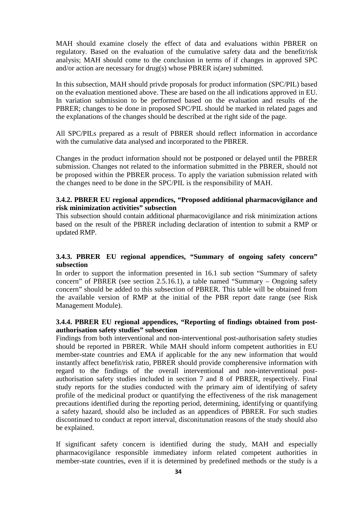MAH should examine closely the effect of data and evaluations within PBRER on regulatory. Based on the evaluation of the cumulative safety data and the benefit/risk analysis; MAH should come to the conclusion in terms of if changes in approved SPC and/or action are necessary for drug(s) whose PBRER is(are) submitted.

In this subsection, MAH should privde proposals for product information (SPC/PIL) based on the evaluation mentioned above. These are based on the all indications approved in EU. In variation submission to be performed based on the evaluation and results of the PBRER; changes to be done in proposed SPC/PIL should be marked in related pages and the explanations of the changes should be described at the right side of the page.

All SPC/PILs prepared as a result of PBRER should reflect information in accordance with the cumulative data analysed and incorporated to the PBRER.

Changes in the product information should not be postponed or delayed until the PBRER submission. Changes not related to the information submitted in the PBRER, should not be proposed within the PBRER process. To apply the variation submission related with the changes need to be done in the SPC/PIL is the responsibility of MAH.

## **3.4.2. PBRER EU regional appendices, "Proposed additional pharmacovigilance and risk minimization activities" subsection**

This subsection should contain additional pharmacovigilance and risk minimization actions based on the result of the PBRER including declaration of intention to submit a RMP or updated RMP.

## **3.4.3. PBRER EU regional appendices, "Summary of ongoing safety concern" subsection**

In order to support the information presented in 16.1 sub section "Summary of safety concern" of PBRER (see section 2.5.16.1), a table named "Summary – Ongoing safety concern" should be added to this subsection of PBRER. This table will be obtained from the available version of RMP at the initial of the PBR report date range (see Risk Management Module).

## **3.4.4. PBRER EU regional appendices, "Reporting of findings obtained from postauthorisation safety studies" subsection**

Findings from both interventional and non-interventional post-authorisation safety studies should be reported in PBRER. While MAH should inform competent authorities in EU member-state countries and EMA if applicable for the any new information that would instantly affect benefit/risk ratio, PBRER should provide compherensive information with regard to the findings of the overall interventional and non-interventional postauthorisation safety studies included in section 7 and 8 of PBRER, respectively. Final study reports for the studies conducted with the primary aim of identifying of safety profile of the medicinal product or quantifying the effectiveness of the risk management precautions identified during the reporting period, determining, identifying or quantifying a safety hazard, should also be included as an appendices of PBRER. For such studies discontinued to conduct at report interval, disconitunation reasons of the study should also be explained.

If significant safety concern is identified during the study, MAH and especially pharmacovigilance responsible immediatey inform related competent authorities in member-state countries, even if it is determined by predefined methods or the study is a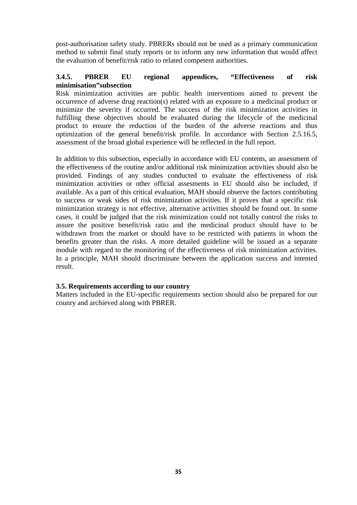post-authorisation safety study. PBRERs should not be used as a primary communication method to submit final study reports or to inform any new information that would affect the evaluation of benefit/risk ratio to related competent authorities.

## **3.4.5. PBRER EU regional appendices, "Effectiveness of risk minimisation"subsection**

Risk minimization activities are public health interventions aimed to prevent the occurrence of adverse drug reaction(s) related with an exposure to a medicinal product or minimize the severity if occurred. The success of the risk minimization activities in fulfilling these objectives should be evaluated during the lifecycle of the medicinal product to ensure the reduction of the burden of the adverse reactions and thus optimization of the general benefit/risk profile. In accordance with Section 2.5.16.5, assessment of the broad global experience will be reflected in the full report.

In addition to this subsection, especially in accordance with EU contents, an assessment of the effectiveness of the routine and/or additional risk minimization activities should also be provided. Findings of any studies conducted to evaluate the effectiveness of risk minimization activities or other official assesments in EU should also be included, if available. As a part of this critical evaluation, MAH should observe the factors contributing to success or weak sides of risk minimization activities. If it proves that a specific risk minimization strategy is not effective, alternative activities should be found out. In some cases, it could be judged that the risk minimization could not totally control the risks to assure the positive benefit/risk ratio and the medicinal product should have to be withdrawn from the market or should have to be restricted with patients in whom the benefits greater than the risks. A more detailed guideline will be issued as a separate module with regard to the monitoring of the effectiveness of risk minimization activities. In a principle, MAH should discriminate between the application success and intented result.

#### **3.5. Requirements according to our country**

Matters included in the EU-specific requirements section should also be prepared for our counry and archieved along with PBRER.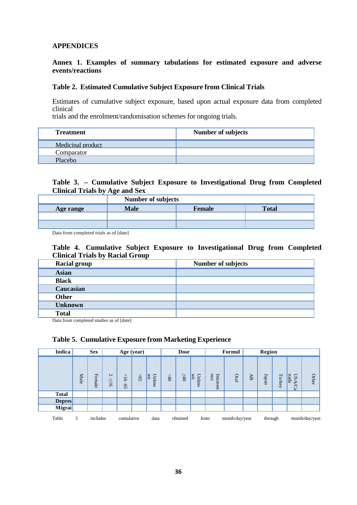## **APPENDICES**

#### **Annex 1. Examples of summary tabulations for estimated exposure and adverse events/reactions**

#### **Table 2. Estimated Cumulative Subject Exposure from Clinical Trials**

Estimates of cumulative subject exposure, based upon actual exposure data from completed clinical

trials and the enrolment/randomisation schemes for ongoing trials.

| <b>Treatment</b>  | <b>Number of subjects</b> |
|-------------------|---------------------------|
| Medicinal product |                           |
| Comparator        |                           |
| Placebo           |                           |

#### **Table 3. – Cumulative Subject Exposure to Investigational Drug from Completed Clinical Trials by Age and Sex**

|           | <b>Number of subjects</b> |        |              |  |  |  |  |
|-----------|---------------------------|--------|--------------|--|--|--|--|
| Age range | <b>Male</b>               | Female | <b>Total</b> |  |  |  |  |
|           |                           |        |              |  |  |  |  |
|           |                           |        |              |  |  |  |  |

Data from completed trials as of [date]

#### **Table 4. Cumulative Subject Exposure to Investigational Drug from Completed Clinical Trials by Racial Group**

| <b>Racial group</b> | <b>Number of subjects</b> |
|---------------------|---------------------------|
| <b>Asian</b>        |                           |
| <b>Black</b>        |                           |
| Caucasian           |                           |
| <b>Other</b>        |                           |
| <b>Unknown</b>      |                           |
| <b>Total</b>        |                           |

Data from completed studies as of [date]

#### **Table 5. Cumulative Exposure from Marketing Experience**

| <b>Indica</b> |      | <b>Sex</b> |                                  |                   | Age (year)      |                       |     | <b>Dose</b> |             |                 | Formul         |    | Region  |                 |                      |                 |
|---------------|------|------------|----------------------------------|-------------------|-----------------|-----------------------|-----|-------------|-------------|-----------------|----------------|----|---------|-----------------|----------------------|-----------------|
|               | Male | Female     | $\overline{C}$<br>ΙV<br>$\sigma$ | $\vee$<br>5<br>G) | 59 <sup>2</sup> | $\mathbb{R}$<br>Unkno | 640 | $-40$       | Unkno<br>ΙW | sno<br>Intraven | <b>Dral</b>    | AB | Iapan   | $_{\rm Turkey}$ | nada<br>S<br>ъ<br>Ča | Other           |
| <b>Total</b>  |      |            |                                  |                   |                 |                       |     |             |             |                 |                |    |         |                 |                      |                 |
| <b>Depres</b> |      |            |                                  |                   |                 |                       |     |             |             |                 |                |    |         |                 |                      |                 |
| Migrai        |      |            |                                  |                   |                 |                       |     |             |             |                 |                |    |         |                 |                      |                 |
| Table         | 5    | includes   |                                  | cumulative        |                 | data                  |     | obtained    |             | from            | month/day/year |    | through |                 |                      | month/day/year. |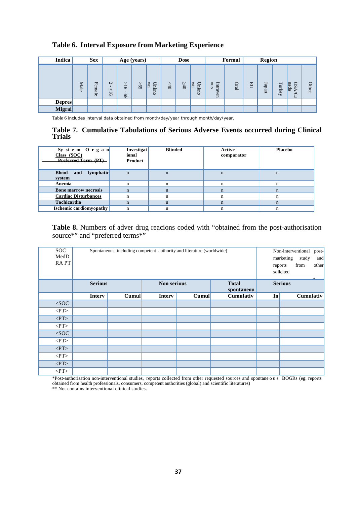## **Table 6. Interval Exposure from Marketing Experience**

| Indica        |           | <b>Sex</b><br>Formul<br><b>Dose</b><br>Age (years) |                                       |                                |           |                      | <b>Region</b> |              |                 |                                |             |                |      |        |                              |       |
|---------------|-----------|----------------------------------------------------|---------------------------------------|--------------------------------|-----------|----------------------|---------------|--------------|-----------------|--------------------------------|-------------|----------------|------|--------|------------------------------|-------|
|               | ⇁<br>Aale | Female                                             | $\sim$<br>$\Lambda$<br>$\overline{5}$ | $\vee$<br>$\overline{5}$<br>GS | $\gtrsim$ | Unk<br>I<br><b>b</b> | $\approx$     | $0$ t $\leq$ | Unk<br>Ιš<br>ΞO | Intr<br>sno<br>$\omega$<br>ven | <b>Dral</b> | $\overline{H}$ | Japa | Turkey | nada<br>S <sub>0</sub><br>Ca | Other |
| <b>Depres</b> |           |                                                    |                                       |                                |           |                      |               |              |                 |                                |             |                |      |        |                              |       |
| Migrai        |           |                                                    |                                       |                                |           |                      |               |              |                 |                                |             |                |      |        |                              |       |

Table 6 includes interval data obtained from month/day/year through month/day/year.

#### **Table 7. Cumulative Tabulations of Serious Adverse Events occurred during Clinical Trials**

| System Organ<br>Class $(SOC)$<br>Preferred Term (PT) | <b>Investigat</b><br>ional<br>Product | <b>Blinded</b> | Active<br>comparator | <b>Placebo</b> |
|------------------------------------------------------|---------------------------------------|----------------|----------------------|----------------|
| lymphatic<br><b>Blood</b><br>and<br>system           | $\mathbf n$                           | n              | $\mathbf n$          | $\mathbf n$    |
| Anemia                                               | n                                     | n              | $\mathbf n$          | n              |
| <b>Bone marrow necrosis</b>                          | $\mathbf n$                           | n              | $\mathbf n$          | $\mathbf n$    |
| <b>Cardiac Disturbances</b>                          | n                                     | n              | n                    |                |
| <b>Tachicardia</b>                                   | $\mathbf n$                           | n              | $\mathbf n$          | n              |
| <b>Ischemic cardiomyopathy</b>                       | n                                     |                | n                    |                |

**Table 8.** Numbers of adver drug reacions coded with "obtained from the post-authorisation source\*" and "preferred terms\*"

| <b>SOC</b>                      |                | Spontaneous, including competent authority and literature (worldwide) |               | Non-interventional<br>post- |                           |       |                          |
|---------------------------------|----------------|-----------------------------------------------------------------------|---------------|-----------------------------|---------------------------|-------|--------------------------|
| MedD                            |                |                                                                       |               |                             | marketing<br>study<br>and |       |                          |
| <b>RAPT</b>                     |                |                                                                       |               |                             |                           |       | from<br>other<br>reports |
|                                 |                |                                                                       |               |                             |                           |       | solicited                |
|                                 | <b>Serious</b> |                                                                       | Non serious   |                             | <b>Total</b>              |       | <b>Serious</b>           |
|                                 |                |                                                                       |               |                             | spontaneou                |       |                          |
|                                 | <b>Interv</b>  | Cumul                                                                 | <b>Interv</b> | Cumul                       | Cumulativ                 | $\ln$ | Cumulativ                |
| $\overline{\text{C}^{\bullet}}$ |                |                                                                       |               |                             |                           |       |                          |
| < PT                            |                |                                                                       |               |                             |                           |       |                          |
| < P T                           |                |                                                                       |               |                             |                           |       |                          |
| < PT                            |                |                                                                       |               |                             |                           |       |                          |
| $<$ SOC                         |                |                                                                       |               |                             |                           |       |                          |
| < P T                           |                |                                                                       |               |                             |                           |       |                          |
| < P T                           |                |                                                                       |               |                             |                           |       |                          |
| < PT                            |                |                                                                       |               |                             |                           |       |                          |
| $<$ PT $>$                      |                |                                                                       |               |                             |                           |       |                          |
| $\rm{<}P T\rm{>}$               |                |                                                                       |               |                             |                           |       |                          |

\*Post-authorisation non-interventional studies, reports collected from other requested sources and spontaneous BOGRs (eg; reports obtained from health professionals, consumers, competent authorities (global) and scientific literatures)

\*\* Not contains interventional clinical studies.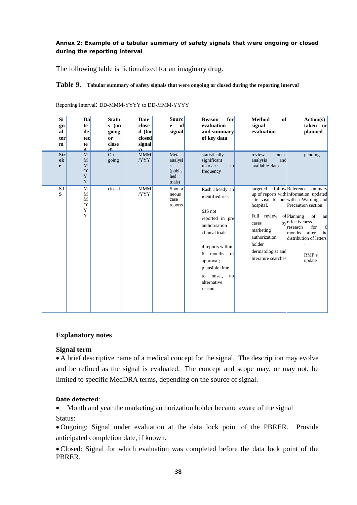#### **Annex 2: Example of a tabular summary of safety signals that were ongoing or closed during the reporting interval**

The following table is fictionalized for an imaginary drug.

#### **Table 9. Tabular summary of safety signals that were ongoing or closed during the reporting interval**

| Si<br>gn<br>al<br>ter<br>m | Dal<br>te<br>de<br>tec<br>te<br>a.     | <b>Statu</b><br>$($ on<br>S.<br>going<br>or<br>close<br>$\overline{\mathbf{r}}$ | Date<br>close<br>$d$ (for<br>closed<br>signal<br>۵Ì. | <b>Sourc</b><br>of<br>e<br>signal                   | for<br><b>Reason</b><br>evaluation<br>and summary<br>of key data                                                                                                                                                              | <b>Method</b><br>of<br>signal<br>evaluation                                                                                       | Action(s)<br>taken or<br>planned                                                                                                                                                                                                                                                |
|----------------------------|----------------------------------------|---------------------------------------------------------------------------------|------------------------------------------------------|-----------------------------------------------------|-------------------------------------------------------------------------------------------------------------------------------------------------------------------------------------------------------------------------------|-----------------------------------------------------------------------------------------------------------------------------------|---------------------------------------------------------------------------------------------------------------------------------------------------------------------------------------------------------------------------------------------------------------------------------|
| Str<br>ok<br>e             | M<br>M<br>M<br>/Y<br>Y<br>Y            | On<br>going                                                                     | MMM<br>/YYY                                          | Meta-<br>analysi<br>S<br>(publis)<br>hed<br>trials) | statistically<br>significant<br>increase<br>in<br>frequency                                                                                                                                                                   | review<br>meta-<br>analysis<br>and<br>available data                                                                              | pending                                                                                                                                                                                                                                                                         |
| <b>SJ</b><br>S             | M<br>M<br>M<br>$/\mathbf{Y}$<br>Y<br>Y | closed                                                                          | <b>MMM</b><br>/YYY                                   | Sponta<br>neous<br>case<br>reports                  | Rash already an<br>identified risk<br>SJS not<br>reported in pre<br>authorisation<br>clinical trials.<br>4 reports within<br>months<br>of<br>6<br>approval;<br>plausible time<br>onset,<br>to<br>no<br>alternative<br>reason. | targeted<br>hospital.<br>Full review<br>cases<br>marketing<br>authorization<br>holder<br>dermatologist and<br>literature searches | follow Reference summary<br>up of reports with information updated<br>site visit to one with a Warning and<br>Precaution section.<br>of Planning<br>of<br>an<br>byeffectiveness<br>research<br>for<br>6<br>after<br>months<br>the<br>distribution of letters<br>RMP's<br>update |

Reporting Interval: DD-MMM-YYYY to DD-MMM-YYYY

#### **Explanatory notes**

#### **Signal term**

• A brief descriptive name of a medical concept for the signal. The description may evolve and be refined as the signal is evaluated. The concept and scope may, or may not, be limited to specific MedDRA terms, depending on the source of signal.

#### **Date detected**:

• Month and year the marketing authorization holder became aware of the signal Status:

• Ongoing: Signal under evaluation at the data lock point of the PBRER. Provide anticipated completion date, if known.

• Closed: Signal for which evaluation was completed before the data lock point of the PBRER.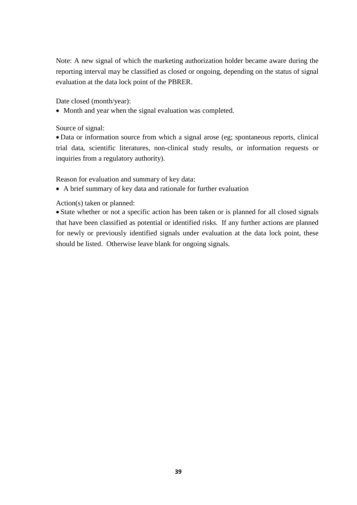Note: A new signal of which the marketing authorization holder became aware during the reporting interval may be classified as closed or ongoing, depending on the status of signal evaluation at the data lock point of the PBRER.

Date closed (month/year):

• Month and year when the signal evaluation was completed.

Source of signal:

• Data or information source from which a signal arose (eg; spontaneous reports, clinical trial data, scientific literatures, non-clinical study results, or information requests or inquiries from a regulatory authority).

Reason for evaluation and summary of key data:

• A brief summary of key data and rationale for further evaluation

Action(s) taken or planned:

• State whether or not a specific action has been taken or is planned for all closed signals that have been classified as potential or identified risks. If any further actions are planned for newly or previously identified signals under evaluation at the data lock point, these should be listed. Otherwise leave blank for ongoing signals.